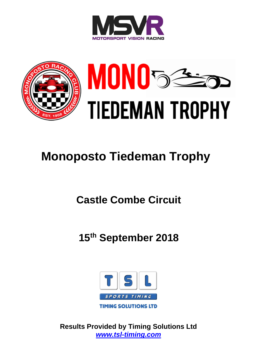



# **Monoposto Tiedeman Trophy**

# **Castle Combe Circuit**

**15th September 2018**



**Results Provided by Timing Solutions Ltd** *[www.tsl-timing.com](http://www.tsl-timing.com/)*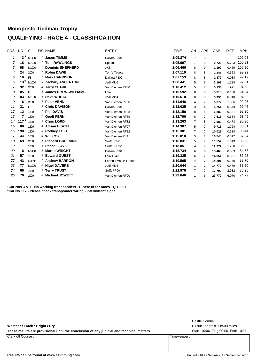## **Monoposto Tiedman Trophy QUALIFYING - RACE 4 - CLASSIFICATION**

| <b>POS</b> | <b>NO</b> | <b>CL</b>      |   | PIC NAME                      | <b>ENTRY</b>          | <b>TIME</b> | ON             | <b>LAPS</b>    | GAP    | <b>DIFF</b> | <b>MPH</b> |
|------------|-----------|----------------|---|-------------------------------|-----------------------|-------------|----------------|----------------|--------|-------------|------------|
| 1          | $3*$      | M1400          |   | <b>Jason TIMMS</b>            | Dallara F301          | 1:05.274    | $\overline{7}$ | 8              |        |             | 102.03     |
| 2          | 18        | M1000          |   | 1 Tom RAWLINGS                | Speads                | 1:05.997    | $\overline{7}$ | 9              | 0.723  | 0.723       | 100.91     |
| 3          | 98        | M1000          |   | <sup>2</sup> Dominic SHEPHERD | <b>JKS</b>            | 1:06.466    | 8              | 9              | 1.192  | 0.469       | 100.20     |
| 4          | 24        | 2000           |   | <b>Robin DAWE</b>             | Tom's Toyota          | 1:07.119    | 8              | 8              | 1.845  | 0.653       | 99.22      |
| 5          | 10        | F <sub>3</sub> |   | <b>Mark HARRISON</b>          | Dallara F302          | 1:07.153    | 8              | 8              | 1.879  | 0.034       | 99.17      |
| 6          | 13        | M1000          |   | 3 Zachary ANDERTON            | Jedi Mk 6             | 1:08.441    | 5              | 6              | 3.167  | 1.288       | 97.31      |
| 7          | 32        | 2000           |   | 2 Terry CLARK                 | Van Diemen RF00       | 1:10.412    | 5              | 7              | 5.138  | 1.971       | 94.58      |
| 8          | 85        | F <sub>3</sub> |   | 2 James DREW-WILLIAMS         | Lola                  | 1:10.592    | 8              | 8              | 5.318  | 0.180       | 94.34      |
| 9          | 83        | M1000          |   | 4 Dave WHEAL                  | Jedi Mk 4             | 1:10.610    | 8              | 8              | 5.336  | 0.018       | 94.32      |
| 10         | 6         | 2000           |   | 3 Peter VENN                  | Van Diemen RF00       | 1:11.646    | 4              | 7              | 6.372  | 1.036       | 92.95      |
| 11         | 31        | F <sub>3</sub> |   | <b>3 Chris DAVISON</b>        | Dallara F301          | 1:12.025    | 3              | 4              | 6.751  | 0.379       | 92.46      |
| 12         | 12        | 1800           | 1 | <b>Phil DAVIS</b>             | Van Diemen RF98       | 1:12.156    | 8              | 8              | 6.882  | 0.131       | 92.30      |
| 13         | 7         | 1800           |   | <sup>2</sup> Geoff FERN       | Van Diemen RF89       | 1:12.790    | 6              | 7              | 7.516  | 0.634       | 91.49      |
| 14         | 117 $*$   | 1800           |   | <sup>3</sup> Chris LORD       | Van Diemen RF82       | 1:13.263    | $\overline{7}$ | 8              | 7.989  | 0.473       | 90.90      |
| 15         | 88        | 1800           |   | 4 Adrian HEATH                | Van Diemen RF97       | 1:14.987    | 5              | 7              | 9.713  | 1.724       | 88.81      |
| 16         | 198       | 1800           |   | <sup>5</sup> Rodney TOFT      | Van Diemen RF82       | 1:15.301    | $\overline{7}$ | 7              | 10.027 | 0.314       | 88.44      |
| 17         | 44        | 1600           |   | 1 Will COX                    | Van Diemen FVJ        | 1:15.818    | 5              | 7              | 10.544 | 0.517       | 87.84      |
| 18         | 69        | 2000           |   | 4 Richard GREENING            | Swift SC98            | 1:16.831    | 5              | 7              | 11.557 | 1.013       | 86.68      |
| 19         | 11        | 1800           |   | 6 Rachel LOVETT               | Swift SC99Z           | 1:18.051    | $\overline{4}$ | 6              | 12.777 | 1.220       | 85.32      |
| 20         | 8         | M1400          |   | <sup>2</sup> Martin WRIGHT    | Dallara F301          | 1:18.734    | 6              | 6              | 13.460 | 0.683       | 84.58      |
| 21         | 57        | 1600           |   | <sup>2</sup> Edward GUEST     | Lola T640             | 1:19.325    | 6              | 7              | 14.051 | 0.591       | 83.95      |
| 22         | 43        | Classic        |   | <sup>1</sup> Andrew BARRON    | Formula Vauxall Lotus | 1:19.565    | 4              | 7              | 14.291 | 0.240       | 83.70      |
| 23         | 77        | M1000          |   | 5 Nigel DAVERS                | Jedi Mk 6             | 1:20.044    | $\mathbf{1}$   | 2              | 14.770 | 0.479       | 83.20      |
| 24         | 66        | 1600           |   | 3 Terry TRUST                 | Swift FR90            | 1:22.976    | $\overline{7}$ | $\overline{7}$ | 17.702 | 2.932       | 80.26      |
| 25         | 70        | 2000           |   | 5 Michael JOWETT              | Van Diemen RF00       | 1:29.046    | 1              | 6              | 23.772 | 6.070       | 74.79      |

**\*Car Nos 3 & 1 - No working transponders - Please fit for races - Q.12.2.1 \*Car No 117 - Please check transponder wiring - Intermittent signal**

**Weather / Track : Bright / Dry**

These results are provisional until the conclusion of any judicial and technical matters. Start: 10:06 Flag 00:00 End: 10:21

Clerk Of Course : Timekeeper :

Circuit Length = 1.8500 miles Castle Combe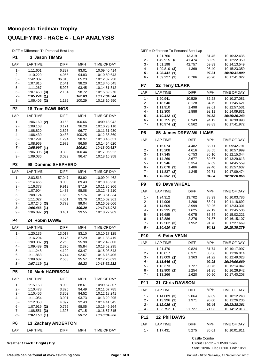# **Monoposto Tiedman Trophy QUALIFYING - RACE 4 - LAP ANALYSIS**

DIFF = Difference To Personal Best Lap

| P <sub>1</sub> | <b>3 Jason TIMMS</b>          |             |                 |                              |
|----------------|-------------------------------|-------------|-----------------|------------------------------|
| LAP            | <b>LAP TIME</b>               | <b>DIFF</b> | MPH             | TIME OF DAY                  |
| 1 -            | 1:11.601                      | 6.327       | 93.01           | 10:09:40.414                 |
| 2 -            | 1:10.229                      | 4.955       | 94.83           | 10:10:50.643                 |
| 3 -            | 1:42.087                      | 36.813      | 65.23           | 10:12:32.730                 |
| 4 -            | 1:07.815                      | 2.541       | 98.20           | 10:13:40.545                 |
| 5 -            | 1:11.267                      | 5.993       | 93.45           | 10:14:51.812                 |
| 6 -            | $1:07.458$ (3)                | 2.184       | 98.72           | 10:15:59.270                 |
| 7 -            | 1:05.274(1)                   |             | 102.03          | 10:17:04.544                 |
| 8 -            | $1:06.406$ (2)                | 1.132       | 100.29          | 10:18:10.950                 |
| P <sub>2</sub> | <b>18 Tom RAWLINGS</b>        |             |                 |                              |
| LAP            | <b>LAP TIME</b>               | DIFF        | MPH             | TIME OF DAY                  |
| 1 -            | $1:06.160$ (2)                | 0.163       | 100.66          | 10:09:13.942                 |
| 2 -            | 1:09.168                      | 3.171       | 96.28           | 10:10:23.110                 |
| 3 -            | 1:08.820                      | 2.823       | 96.77           | 10:11:31.930                 |
| 4 -            | 1:06.430                      | 0.433       | 100.25          | 10:12:38.360                 |
| 5 -            | 1:07.291                      | 1.294       | 98.97           | 10:13:45.651                 |
| 6 -            | 1:08.969                      | 2.972       | 96.56           | 10:14:54.620                 |
| $7 -$          | 1:05.997(1)                   |             | 100.91          | 10:16:00.617                 |
| 8 -            | $1:06.305$ (3)                | 0.308       | 100.44          | 10:17:06.922                 |
| 9 -            | 1:09.036                      | 3.039       | 96.47           | 10:18:15.958                 |
| P <sub>3</sub> | 98 Dominic SHEPHERD           |             |                 |                              |
| LAP            | <b>LAP TIME</b>               | DIFF        | MPH             | TIME OF DAY                  |
| $1 -$          | 2:03.513                      | 57.047      | 53.92           | 10:09:04.462                 |
| 2 -            | 1:14.466                      | 8.000       | 89.43           | 10:10:18.928                 |
| 3 -            | 1:16.378                      | 9.912       | 87.19           | 10:11:35.306                 |
| $4 -$          | 1:07.904                      | 1.438       | 98.08           | 10:12:43.210                 |
| 5 -            | 1:08.124                      | 1.658       | 97.76           | 10:13:51.334                 |
| 6 -            | 1:11.027                      | 4.561       | 93.76           | 10:15:02.361                 |
| 7 -<br>8 -     | $1:07.245$ (3)<br>1:06.466(1) | 0.779       | 99.04<br>100.20 | 10:16:09.606<br>10:17:16.072 |
| 9 -            | $1:06.897$ (2)                | 0.431       | 99.55           | 10:18:22.969                 |
| P <sub>4</sub> | 24 Robin DAWE                 |             |                 |                              |
| LAP            | <b>LAP TIME</b>               | DIFF        | <b>MPH</b>      | TIME OF DAY                  |
| 1 -            | 1:20.136                      | 13.017      | 83.10           | 10:10:17.125                 |
| 2 -            | 1:16.294                      | 9.175       | 87.29           | 10:11:33.419                 |
| 3 -            | $1:09.387$ (2)                | 2.268       | 95.98           | 10:12:42.806                 |
| 4 -            | $1:09.489$ (3)                | 2.370       | 95.84           | 10:13:52.295                 |
| 5 -            | 1:11.248                      | 4.129       | 93.47           | 10:15:03.543                 |
| 6 -            | 1:11.863                      | 4.744       | 92.67           | 10:16:15.406                 |
| 7 -            | 1:09.687                      | 2.568       | 95.57           | 10:17:25.093                 |
| 8 -            | 1:07.119(1)                   |             | 99.22           | 10:18:32.212                 |
| P5             | <b>10 Mark HARRISON</b>       |             |                 |                              |
| LAP            | <b>LAP TIME</b>               | <b>DIFF</b> | MPH             | TIME OF DAY                  |
| 1 -            | 1:15.153                      | 8.000       | 88.61           | 10:09:57.307                 |
| 2 -            | 1:10.478                      | 3.325       | 94.49           | 10:11:07.785                 |
| $3 -$          | 1:10.456                      | 3.303       | 94.52           | 10:12:18.241                 |
| 4 -            | 1:11.054                      | 3.901       | 93.73           | 10:13:29.295                 |
| 5 -            | 1:12.050                      | 4.897       | 92.43           | 10:14:41.345                 |
| 6 -            | $1:07.919$ (2)                | 0.766       | 98.05           | 10:15:49.264                 |
| 7 -            | $1:08.551$ (3)                | 1.398       | 97.15           | 10:16:57.815                 |
| 8 -            | 1:07.153(1)                   |             | 99.17           | 10:18:04.968                 |
| P6             | <b>13 Zachary ANDERTON</b>    |             |                 |                              |
| LAP            | <b>LAP TIME</b>               | <b>DIFF</b> | <b>MPH</b>      | TIME OF DAY                  |

**Weather / Track : Bright / Dry**

|                 |                                  | DIFF = Difference To Personal Best Lap |                |                              |
|-----------------|----------------------------------|----------------------------------------|----------------|------------------------------|
| $1 -$           | 1:21.760                         | 13.319                                 | 81.45          | 10:10:32.435                 |
| $2 -$           | 1:49.915<br>P                    | 41.474                                 | 60.59          | 10:12:22.350                 |
| 3 -             | 1:51.198                         | 42.757                                 | 59.89          | 10:14:13.549                 |
| 4 -             | $1:09.810$ (3)                   | 1.369                                  | 95.40          | 10:15:23.359                 |
| 5 -             | 1:08.441(1)                      |                                        | 97.31          | 10:16:31.800                 |
| 6 -             | $1:09.227$ (2)                   | 0.786                                  | 96.20          | 10:17:41.027                 |
| P7              | 32 Terry CLARK                   |                                        |                |                              |
| LAP             | <b>LAP TIME</b>                  | <b>DIFF</b>                            | <b>MPH</b>     | TIME OF DAY                  |
| $1 -$           | 1:20.941                         | 10.529                                 | 82.28          | 10:10:27.081                 |
| 2 -             | 1:18.540                         | 8.128                                  | 84.79          | 10:11:45.621                 |
| 3 -             | 1:11.910                         | 1.498                                  | 92.61          | 10:12:57.531                 |
| 4 -<br>5 -      | 1:12.300<br>1:10.412(1)          | 1.888                                  | 92.11<br>94.58 | 10:14:09.831<br>10:15:20.243 |
| 6 -             | $1:10.755$ (2)                   | 0.343                                  | 94.12          | 10:16:30.998                 |
| 7 -             | $1:10.974$ (3)                   | 0.562                                  | 93.83          | 10:17:41.972                 |
| P <sub>8</sub>  | 85 James DREW-WILLIAMS           |                                        |                |                              |
| LAP             | <b>LAP TIME</b>                  | <b>DIFF</b>                            | <b>MPH</b>     | TIME OF DAY                  |
| $1 -$           | 1:15.074                         | 4.482                                  | 88.71          | 10:09:42.791                 |
| $2 -$           | 1:15.208                         | 4.616                                  | 88.55          | 10:10:57.999                 |
| 3 -             | 1:17.345                         | 6.753                                  | 86.10          | 10:12:15.344                 |
| $4 -$           | 1:14.269                         | 3.677                                  | 89.67          | 10:13:29.613                 |
| 5 -             | 1:15.946                         | 5.354                                  | 87.69          | 10:14:45.559                 |
| 6 -             | $1:12.078$ (3)                   | 1.486                                  | 92.40          | 10:15:57.637                 |
| 7 -             | $1:11.837$ (2)                   | 1.245                                  | 92.71          | 10:17:09.474                 |
| 8 -             | 1:10.592(1)                      |                                        | 94.34          | 10:18:20.066                 |
| P <sub>9</sub>  | <b>83 Dave WHEAL</b>             |                                        |                |                              |
| LAP             | <b>LAP TIME</b>                  | <b>DIFF</b>                            | <b>MPH</b>     | TIME OF DAY                  |
| 1 -             | 1:24.312                         | 13.702                                 | 78.99          | 10:10:03.786                 |
| 2 -             | 1:14.906                         | 4.296                                  | 88.91          | 10:11:18.692                 |
| 3 -             | 1:14.609                         | 3.999                                  | 89.26          | 10:12:33.301                 |
| 4 -             | $1:12.235$ (2)                   | 1.625                                  | 92.19          | 10:13:45.536                 |
|                 |                                  |                                        |                |                              |
| 5 -             | 1:16.685                         | 6.075                                  | 86.84          | 10:15:02.221                 |
| 6 -             | 1:12.886                         | 2.276                                  | 91.37          | 10:16:15.107                 |
| 7 -<br>8 -      | $1:12.562$ (3)                   | 1.952                                  | 91.78<br>94.32 | 10:17:27.669<br>10:18:38.279 |
|                 | 1:10.610(1)                      |                                        |                |                              |
| P <sub>10</sub> | <b>6 Peter VENN</b>              |                                        |                |                              |
| LAP             | <b>LAP TIME</b>                  | <b>DIFF</b>                            | <b>MPH</b>     | TIME OF DAY                  |
| $1 -$           | 1:21.470                         | 9.824                                  | 81.74          | 10:10:17.997                 |
| $2 -$           | 1:18.017                         | 6.371                                  | 85.36          | 10:11:36.014                 |
| $3 -$           | $1:13.009$ (3)                   | 1.363                                  | 91.22          | 10:12:49.023                 |
| 4 -             | 1:11.646(1)<br>1:13.373          |                                        | 92.95          | 10:14:00.669<br>10:15:14.042 |
| $5 -$<br>6 -    |                                  | 1.727<br>1.254                         | 90.76<br>91.35 | 10:16:26.942                 |
| $7 -$           | $1:12.900$ (2)<br>1:13.266       | 1.620                                  | 90.90          | 10:17:40.208                 |
| <b>P11</b>      | <b>Chris DAVISON</b><br>31       |                                        |                |                              |
| LAP             | <b>LAP TIME</b>                  | DIFF                                   | MPH            | <b>TIME OF DAY</b>           |
| 1 -             |                                  | 2.064                                  | 89.89          | 10:10:12.240                 |
| 2 -             | $1:14.089$ (3)<br>$1:13.996$ (2) | 1.971                                  | 90.00          | 10:11:26.236                 |
| 3 -             | 1:12.025(1)                      |                                        | 92.46          | 10:12:38.261                 |
| 4 -             | 1:33.752 <b>P</b>                | 21.727                                 | 71.03          | 10:14:12.013                 |
| <b>P12</b>      | <b>12 Phil DAVIS</b>             |                                        |                |                              |
| LAP             | <b>LAP TIME</b>                  | <b>DIFF</b>                            | MPH            | TIME OF DAY                  |
| 1 -             | 1:17.431                         | 5.275                                  | 86.01          | 10:10:01.811                 |

Start: 10:06 Flag 00:00 End: 10:21 Circuit Length = 1.8500 miles Castle Combe

#### Results can be found at www.tsl-timing.com **Page 1 of 3** Printed - 10:30 Saturday, 15 September 2018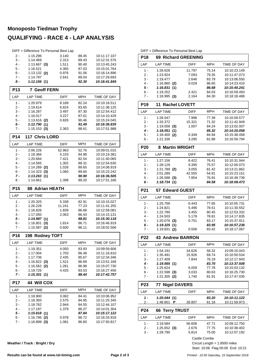# **Monoposto Tiedman Trophy QUALIFYING - RACE 4 - LAP ANALYSIS**

|                 | DIFF = Difference To Personal Best Lap |                |                |                              |
|-----------------|----------------------------------------|----------------|----------------|------------------------------|
| $2 -$           | 1:15.296                               | 3.140          | 88.45          | 10:11:17.107                 |
| $3 -$           | 1:14.469                               | 2.313          | 89.43          | 10:12:31.576                 |
| 4 -<br>5 -      | 1:13.667 (3)<br>1:16.521               | 1.511          | 90.40          | 10:13:45.243                 |
| 6 -             | $1:13.132$ (2)                         | 4.365<br>0.976 | 87.03<br>91.06 | 10:15:01.764<br>10:16:14.896 |
| 7 -             | 1:14.797                               | 2.641          | 89.04          | 10:17:29.693                 |
| 8 -             | 1:12.156(1)                            |                | 92.30          | 10:18:41.849                 |
| <b>P13</b>      | <b>7 Geoff FERN</b>                    |                |                |                              |
| LAP             | <b>LAP TIME</b>                        | <b>DIFF</b>    | <b>MPH</b>     | TIME OF DAY                  |
| $1 -$           | 1:20.979                               | 8.189          | 82.24          | 10:10:18.511                 |
| 2 -             | 1:19.614                               | 6.824          | 83.65          | 10:11:38.125                 |
| 3 -             | 1:16.287                               | 3.497          | 87.30          | 10:12:54.412                 |
| 4 -             | 1:16.017                               | 3.227          | 87.61          | 10:14:10.429                 |
| 5 -             | 1:13.616<br>(2)                        | 0.826          | 90.46          | 10:15:24.045                 |
| 6 -             | 1:12.790(1)                            |                | 91.49          | 10:16:36.835                 |
| $7 -$           | $1:15.153$ (3)                         | 2.363          | 88.61          | 10:17:51.988                 |
| P <sub>14</sub> | <b>117 Chris LORD</b>                  |                |                |                              |
| LAP             | <b>LAP TIME</b>                        | DIFF           | <b>MPH</b>     | TIME OF DAY                  |
| 1 -             | 2:06.226                               | 52.963         | 52.76          | 10:09:01.015                 |
| $2 -$           | 1:18.366                               | 5.103          | 84.98          | 10:10:19.381                 |
| 3 -             | 1:20.684                               | 7.421          | 82.54          | 10:11:40.065                 |
| 4 -             | 1:14.565<br>1:14.289                   | 1.302          | 89.31          | 10:12:54.630                 |
| 5 -<br>6 -      | (2)<br>$1:14.323$ (3)                  | 1.026<br>1.060 | 89.65<br>89.60 | 10:14:08.919<br>10:15:23.242 |
| 7 -             | 1:13.263(1)                            |                | 90.90          | 10:16:36.505                 |
| 8 -             | 1:14.661                               | 1.398          | 89.20          | 10:17:51.166                 |
| P <sub>15</sub> | <b>88 Adrian HEATH</b>                 |                |                |                              |
| LAP             | <b>LAP TIME</b>                        | DIFF           | <b>MPH</b>     | TIME OF DAY                  |
| 1 -             | 1:20.325                               | 5.338          | 82.91          | 10:10:15.027                 |
| 2 -             | 1:26.228                               | 11.241         | 77.23          | 10:11:41.255                 |
| 3 -             | 1:16.826                               | 1.839          | 86.68          | 10:12:58.081                 |
| 4 -             | 1:17.050                               | 2.063          | 86.43          | 10:14:15.131                 |
| 5 -             | 1:14.987(1)                            |                | 88.81          | 10:15:30.118                 |
| 6 -<br>$7 -$    | 1:16.801<br>(3)<br>1:15.587<br>(2)     | 1.814<br>0.600 | 86.71<br>88.11 | 10:16:46.919<br>10:18:02.506 |
| <b>P16</b>      | 198 Rodney TOFT                        |                |                |                              |
| LAP             | <b>LAP TIME</b>                        | <b>DIFF</b>    | <b>MPH</b>     | TIME OF DAY                  |
|                 |                                        |                |                |                              |
| 1 -<br>2 -      | 1:19.351                               | 4.050          | 83.93          | 10:09:59.606<br>10:11:16.610 |
| 3 -             | 1:17.004<br>1:17.736                   | 1.703<br>2.435 | 86.48<br>85.67 | 10:12:34.346                 |
| $4 -$           | $1:16.822$ (3)                         | 1.521          | 86.69          | 10:13:51.168                 |
| 5 -             | 1:16.562<br>(2)                        | 1.261          | 86.98          | 10:15:07.730                 |
| 6 -             | 1:19.726                               | 4.425          | 83.53          | 10:16:27.456                 |
| 7 -             | 1:15.301(1)                            |                | 88.44          | 10:17:42.757                 |
| P17             | <b>44 Will COX</b>                     |                |                |                              |
| LAP             | LAP TIME                               | DIFF           | MPH            | TIME OF DAY                  |
| 1 -             | 1:18.900                               | 3.082          | 84.41          | 10:10:06.952                 |
| 2 -             | 1:18.393                               | 2.575          | 84.95          | 10:11:25.345                 |
| $3 -$           | 1:18.762                               | 2.944          | 84.55          | 10:12:44.107                 |
| 4 -             | 1:17.197                               | 1.379          | 86.27          | 10:14:01.304                 |
| 5 -             | 1:15.818(1)                            |                | 87.84          | 10:15:17.122                 |
| 6 -             | 1:16.796<br>(2)                        | 0.978          | 86.72          | 10:16:33.918                 |
| 7 -             | 1:16.899 (3)                           | 1.081          | 86.60          | 10:17:50.817                 |

DIFF = Difference To Personal Best Lap

| <b>P18</b>      | <b>69 Richard GREENING</b>     |                |                    |                              |  |  |  |  |  |  |
|-----------------|--------------------------------|----------------|--------------------|------------------------------|--|--|--|--|--|--|
| LAP             | <b>LAP TIME</b>                | <b>DIFF</b>    | MPH                | TIME OF DAY                  |  |  |  |  |  |  |
| 1 -             | 1:28.628                       | 11.797         | 75.14              | 10:10:23.149                 |  |  |  |  |  |  |
| $2 -$           | 1:23.924                       | 7.093          | 79.35              | 10:11:47.073                 |  |  |  |  |  |  |
| $3 -$           | 1:19.477                       | 2.646          | 83.79              | 10:13:06.550                 |  |  |  |  |  |  |
| $4 -$           | 1:16.860<br>(2)                | 0.029          | 86.65              | 10:14:23.410                 |  |  |  |  |  |  |
| 5 -             | 1:16.831(1)                    |                | 86.68              | 10:15:40.241                 |  |  |  |  |  |  |
| 6 -<br>$7 -$    | 1:19.252<br>$1:18.995$ (3)     | 2.421<br>2.164 | 84.03<br>84.30     | 10:16:59.493<br>10:18:18.488 |  |  |  |  |  |  |
|                 |                                |                |                    |                              |  |  |  |  |  |  |
| P <sub>19</sub> | <b>11 Rachel LOVETT</b>        |                |                    |                              |  |  |  |  |  |  |
| LAP             | <b>LAP TIME</b>                | <b>DIFF</b>    | <b>MPH</b>         | <b>TIME OF DAY</b>           |  |  |  |  |  |  |
| $1 -$           | 1:26.047                       | 7.996          | 77.39              | 10:10:09.577                 |  |  |  |  |  |  |
| $2 -$           | 1:33.372                       | 15.321         | 71.32              | 10:11:42.949                 |  |  |  |  |  |  |
| $3 -$           | $1:19.058$ (3)                 | 1.007          | 84.24              | 10:13:02.007                 |  |  |  |  |  |  |
| 4 -             | 1:18.051(1)                    |                | 85.32              | 10:14:20.058                 |  |  |  |  |  |  |
| 5 -             | 1:18.400<br>(2)                | 0.349          | 84.94              | 10:15:38.458                 |  |  |  |  |  |  |
| 6 -             | 1:21.336                       | 3.285          | 81.88              | 10:16:59.794                 |  |  |  |  |  |  |
| P <sub>20</sub> | 8 Martin WRIGHT                |                |                    |                              |  |  |  |  |  |  |
| LAP             | <b>LAP TIME</b>                | <b>DIFF</b>    | <b>MPH</b>         | TIME OF DAY                  |  |  |  |  |  |  |
| 1 -             | 1:27.156                       | 8.422          | 76.41              | 10:10:31.944                 |  |  |  |  |  |  |
| $2 -$           | 1:28.129                       | 9.395          | 75.57              | 10:12:00.073                 |  |  |  |  |  |  |
| $3 -$           | $1:21.789$ (2)                 | 3.055          | 81.42              | 10:13:21.862                 |  |  |  |  |  |  |
| $4 -$           | 2:01.289                       | 42.555         | 54.91              | 10:15:23.151                 |  |  |  |  |  |  |
| 5 -<br>6 -      | $1:26.588$ (3)                 | 7.854          | 76.91<br>84.58     | 10:16:49.739<br>10:18:08.473 |  |  |  |  |  |  |
|                 | 1:18.734(1)                    |                |                    |                              |  |  |  |  |  |  |
| P <sub>21</sub> | 57 Edward GUEST                |                |                    |                              |  |  |  |  |  |  |
| LAP             | <b>LAP TIME</b>                | <b>DIFF</b>    | <b>TIME OF DAY</b> |                              |  |  |  |  |  |  |
| $1 -$           | 1:25.768                       | 6.443          | 77.65              | 10:10:05.731                 |  |  |  |  |  |  |
| $2 -$           | 1:24.821                       | 5.496          | 78.51              | 10:11:30.552                 |  |  |  |  |  |  |
| 3 -             | 1:22.780                       | 3.455          | 80.45              | 10:12:53.332                 |  |  |  |  |  |  |
| $4 -$           | 1:24.503                       | 5.178          | 78.81              | 10:14:17.835                 |  |  |  |  |  |  |
| 5 -             | 1:20.076<br>(3)                | 0.751          | 83.17              | 10:15:37.911<br>10:16:57.236 |  |  |  |  |  |  |
| 6 -<br>7 -      | 1:19.325(1)<br>1:19.831<br>(2) | 0.506          | 83.95<br>83.42     | 10:18:17.067                 |  |  |  |  |  |  |
|                 |                                |                |                    |                              |  |  |  |  |  |  |
| <b>P22</b>      | <b>43 Andrew BARRON</b>        |                |                    |                              |  |  |  |  |  |  |
| LAP             | <b>LAP TIME</b>                | <b>DIFF</b>    | MPH                | TIME OF DAY                  |  |  |  |  |  |  |
| 1 -             | 1:54.191                       | 34.626         | 58.32              | 10:09:15.043                 |  |  |  |  |  |  |
| 2 -             | 1:35.491                       | 15.926         | 69.74              | 10:10:50.534                 |  |  |  |  |  |  |
| 3 -             | 1:27.409                       | 7.844          | 76.19              | 10:12:17.943                 |  |  |  |  |  |  |
| 4 -<br>5 -      | 1:19.565(1)                    |                | 83.70              | 10:13:37.508<br>10:15:03.132 |  |  |  |  |  |  |
| 6 -             | 1:25.624<br>$1:22.598$ (3)     | 6.059<br>3.033 | 77.78<br>80.63     | 10:16:25.730                 |  |  |  |  |  |  |
| 7 -             | $1:21.305$ (2)                 | 1.740          | 81.91              | 10:17:47.035                 |  |  |  |  |  |  |
| P <sub>23</sub> | <b>77 Nigel DAVERS</b>         |                |                    |                              |  |  |  |  |  |  |
| LAP             | <b>LAP TIME</b>                | DIFF           | MPH                | TIME OF DAY                  |  |  |  |  |  |  |
| 1 -             | 1:20.044 (1)                   |                | 83.20              | 10:10:11.122                 |  |  |  |  |  |  |
| 2 -             | <u>1:48.851 P</u>              | <u>28.807</u>  | <u>61.18</u>       | <u>10:11:59.973</u>          |  |  |  |  |  |  |
| P24             | <b>66 Terry TRUST</b>          |                |                    |                              |  |  |  |  |  |  |
| LAP             | <b>LAP TIME</b>                | DIFF           | MPH                | TIME OF DAY                  |  |  |  |  |  |  |
| 1 -             | 2:19.584                       | 56.608         | 47.71              | 10:09:12.750                 |  |  |  |  |  |  |
| 2 -             | $1:25.652$ (3)                 | 2.676          | 77.75              | 10:10:38.402                 |  |  |  |  |  |  |
| 3 -             | 1:28.790                       | 5.814          | 75.00              | 10:12:07.192                 |  |  |  |  |  |  |
|                 |                                |                |                    |                              |  |  |  |  |  |  |
|                 | Castle Combe                   |                |                    |                              |  |  |  |  |  |  |

**Weather / Track : Bright / Dry**

Start: 10:06 Flag 00:00 End: 10:21 Circuit Length = 1.8500 miles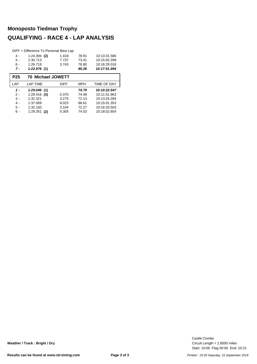# **Monoposto Tiedman Trophy QUALIFYING - RACE 4 - LAP ANALYSIS**

|            | DIFF = Difference To Personal Best Lap |             |            |                    |  |  |  |  |  |  |  |
|------------|----------------------------------------|-------------|------------|--------------------|--|--|--|--|--|--|--|
| 4 -        | $1:24.394$ (2)                         | 1.418       | 78.91      | 10:13:31.586       |  |  |  |  |  |  |  |
| $5 -$      | 1:30.713                               | 7.737       | 73.41      | 10:15:02.299       |  |  |  |  |  |  |  |
| $6 -$      | 1:26.719                               | 3.743       | 76.80      | 10:16:29.018       |  |  |  |  |  |  |  |
| 7 -        | 1:22.976(1)                            |             | 80.26      | 10:17:51.994       |  |  |  |  |  |  |  |
| <b>P25</b> | <b>70 Michael JOWETT</b>               |             |            |                    |  |  |  |  |  |  |  |
|            |                                        |             |            |                    |  |  |  |  |  |  |  |
| LAP        | <b>LAP TIME</b>                        | <b>DIFF</b> | <b>MPH</b> | <b>TIME OF DAY</b> |  |  |  |  |  |  |  |
| $1 -$      | 1:29.046(1)                            |             | 74.79      | 10:10:22.547       |  |  |  |  |  |  |  |
| $2 -$      | 1:29.416<br>(3)                        | 0.370       | 74.48      | 10:11:51.963       |  |  |  |  |  |  |  |
| $3 -$      | 1:32.321                               | 3.275       | 72.13      | 10:13:24.284       |  |  |  |  |  |  |  |
| $4 -$      | 1:37.069                               | 8.023       | 68.61      | 10:15:01.353       |  |  |  |  |  |  |  |
| $5 -$      | 1:32.150                               | 3.104       | 72.27      | 10:16:33.503       |  |  |  |  |  |  |  |

Start: 10:06 Flag 00:00 End: 10:21 Circuit Length = 1.8500 miles Castle Combe

**Weather / Track : Bright / Dry**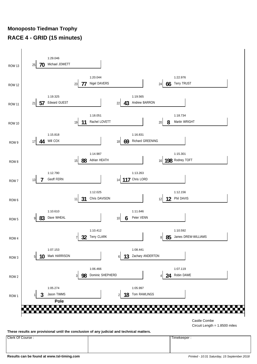# **Monoposto Tiedman Trophy RACE 4 - GRID (15 minutes)**



**These results are provisional until the conclusion of any judicial and technical matters.**

Clerk Of Course : Timekeeper :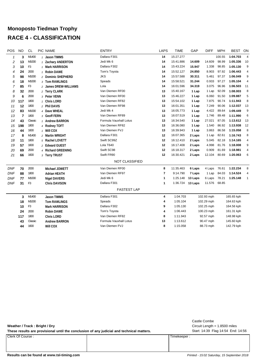# **Monoposto Tiedman Trophy RACE 4 - CLASSIFICATION**

| POS            | <b>NO</b> | <b>CL</b>      | PIC NAME              | <b>ENTRY</b>           | <b>LAPS</b> | <b>TIME</b> | GAP     | <b>DIFF</b> | <b>MPH</b> | <b>BEST</b> | ON             |
|----------------|-----------|----------------|-----------------------|------------------------|-------------|-------------|---------|-------------|------------|-------------|----------------|
| $\mathbf{1}$   | 3         | M1400          | 1 Jason TIMMS         | Dallara F301           | 14          | 15:27.277   |         |             | 100.55     | 1:04.703    | $\overline{4}$ |
| 2              | 13        | M1000          | 1 Zachary ANDERTON    | Jedi Mk 6              | 14          | 15:41.886   | 14.609  | 14.609      | 98.99      | 1:05.336    | 10             |
| 3              | 10        | F <sub>3</sub> | 1 Mark HARRISON       | Dallara F302           | 14          | 15:43.224   | 15.947  | 1.338       | 98.85      | 1:05.130    | 9              |
| 4              | 24        | 2000           | 1 Robin DAWE          | Tom's Toyota           | 14          | 15:52.127   | 24.850  | 8.903       | 97.92      | 1:06.443    | 4              |
| 5              | 98        | M1000          | 2 Dominic SHEPHERD    | <b>JKS</b>             | 14          | 15:57.588   | 30.311  | 5.461       | 97.37      | 1:06.049    | 9              |
| 6              | 18        | M1000          | 3 Tom RAWLINGS        | Speads                 | 14          | 15:58.521   | 31.244  | 0.933       | 97.27      | 1:05.104    | 4              |
| $\overline{7}$ | 85        | F <sub>3</sub> | 2 James DREW-WILLIAMS | Lola                   | 14          | 16:01.596   | 34.319  | 3.075       | 96.96      | 1:06.503    | 11             |
| 8              | 32        | 2000           | 2 Terry CLARK         | Van Diemen RF00        | 13          | 15:40.167   | 1 Lap   | 1 Lap       | 92.09      | 1:08.003    | 8              |
| 9              | 6         | 2000           | 3 Peter VENN          | Van Diemen RF00        | 13          | 15:46.227   | 1 Lap   | 6.060       | 91.50      | 1:09.887    | 5              |
| 10             | 117       | 1800           | 1 Chris LORD          | Van Diemen RF82        | 13          | 15:54.102   | 1 Lap   | 7.875       | 90.74      | 1:11.943    | 8              |
| 11             | 12        | 1800           | 2 Phil DAVIS          | Van Diemen RF98        | 13          | 16:01.351   | 1 Lap   | 7.249       | 90.06      | 1:12.037    | 13             |
| 12             | 83        | M1000          | 4 Dave WHEAL          | Jedi Mk 4              | 13          | 16:05.773   | 1 Lap   | 4.422       | 89.64      | 1:09.449    | 9              |
| 13             | 7         | 1800           | 3 Geoff FERN          | Van Diemen RF89        | 13          | 16:07.519   | 1 Lap   | 1.746       | 89.48      | 1:11.990    | 6              |
| 14             | 43        | Classic        | 1 Andrew BARRON       | Formula Vauxhall Lotus | 13          | 16:34.540   | 1 Lap   | 27.021      | 87.05      | 1:13.612    | 13             |
| 15             | 198       | 1800           | 4 Rodney TOFT         | Van Diemen RF82        | 13          | 16:36.080   | 1 Lap   | 1.540       | 86.92      | 1:13.938    | 12             |
| 16             | 44        | 1600           | 1 Will COX            | Van Diemen FVJ         | 13          | 16:39.943   | 1 Lap   | 3.863       | 86.58      | 1:15.058    | 8              |
| 17             | 8         | M1400          | 2 Martin WRIGHT       | Dallara F301           | 12          | 16:07.365   | 2 Laps  | 1 Lap       | 82.61      | 1:16.743    | 8              |
| 18             | 11        | 1800           | 5 Rachel LOVETT       | Swift SC99Z            | 12          | 16:12.410   | 2 Laps  | 5.045       | 82.18      | 1:14.165    | 4              |
| 19             | 57        | 1600           | 2 Edward GUEST        | Lola T640              | 12          | 16:17.408   | 2 Laps  | 4.998       | 81.76      | 1:18.008    | 9              |
| 20             | 69        | 2000           | 4 Richard GREENING    | Swift SC98             | 12          | 16:18.317   | 2 Laps  | 0.909       | 81.69      | 1:18.981    | 4              |
| 21             | 66        | 1600           | 3 Terry TRUST         | Swift FR90             | 12          | 16:30.421   | 2 Laps  | 12.104      | 80.69      | 1:20.063    | 6              |
|                |           |                |                       | NOT CLASSIFIED         |             |             |         |             |            |             |                |
| <b>DNF</b>     | 70        | 2000           | Michael JOWETT        | Van Diemen RF00        | 8           | 11:35.463   | 6 Laps  | 4 Laps      | 76.61      | 1:22.234    | 8              |
| <b>DNF</b>     | 88        | 1800           | <b>Adrian HEATH</b>   | Van Diemen RF97        | 7           | 9:14.790    | 7 Laps  | 1 Lap       | 84.03      | 1:14.524    | 4              |
| <b>DNF</b>     | 77        | M1000          | <b>Nigel DAVERS</b>   | Jedi Mk 6              | 1           | 1:25.148    | 13 Laps | 6 Laps      | 78.21      | 1:25.148    | $\mathbf{1}$   |
| <b>DNF</b>     | 31        | F <sub>3</sub> | <b>Chris DAVISON</b>  | Dallara F301           | 1           | 1:36.724    | 13 Laps | 11.576      | 68.85      |             |                |
|                |           |                |                       | <b>FASTEST LAP</b>     |             |             |         |             |            |             |                |
|                | 3         | M1400          | <b>Jason TIMMS</b>    | Dallara F301           | 4           | 1:04.703    |         | 102.93 mph  |            | 165.65 kph  |                |
|                | 18        | M1000          | <b>Tom RAWLINGS</b>   | Speads                 | 4           | 1:05.104    |         | 102.29 mph  |            | 164.63 kph  |                |
|                | 10        | F3             | <b>Mark HARRISON</b>  | Dallara F302           | 9           | 1:05.130    |         | 102.25 mph  |            | 164.56 kph  |                |
|                | 24        | 2000           | <b>Robin DAWE</b>     | Tom's Toyota           | 4           | 1:06.443    |         | 100.23 mph  |            | 161.31 kph  |                |
|                | 117       | 1800           | Chris LORD            | Van Diemen RF82        | 8           | 1:11.943    |         | 92.57 mph   |            | 148.98 kph  |                |
|                | 43        | Classic        | <b>Andrew BARRON</b>  | Formula Vauxhall Lotus | 13          | 1:13.612    |         | 90.47 mph   |            | 145.60 kph  |                |
|                | 44        | 1600           | Will COX              | Van Diemen FVJ         | 8           | 1:15.058    |         | 88.73 mph   |            | 142.79 kph  |                |
|                |           |                |                       |                        |             |             |         |             |            |             |                |

**Weather / Track : Bright / Dry**

These results are provisional until the conclusion of any judicial and technical matters. Start: 14:39 Flag 14:54 End: 14:56

Clerk Of Course : Timekeeper :

Circuit Length = 1.8500 miles Castle Combe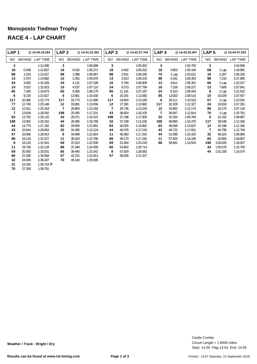#### **Monoposto Tiedman Trophy RACE 4 - LAP CHART**

| LAP <sub>1</sub> |               | @ 14:40:16.264          | LAP <sub>2</sub> |               | @14:41:22.352 | LAP <sub>3</sub> |               | @14:42:27.704 | LAP <sub>4</sub> |               | @14:43:32.407 | LAP <sub>5</sub> |               | @14:44:37.253   |
|------------------|---------------|-------------------------|------------------|---------------|---------------|------------------|---------------|---------------|------------------|---------------|---------------|------------------|---------------|-----------------|
| NO.              | <b>BEHIND</b> | LAP TIME                | NO.              | <b>BEHIND</b> | LAP TIME      | NO.              | <b>BEHIND</b> | LAP TIME      | NO.              | <b>BEHIND</b> | LAP TIME      | NO.              | <b>BEHIND</b> | <b>LAP TIME</b> |
| 3                |               | 1:12.408                | 3                |               | 1:06.088      | 3                |               | 1:05.352      | 3                |               | 1:04.703      | 3                |               | 1:04.846        |
| 18               | 0.249         | 1:12.657                | 18               | 0.432         | 1:06.271      | 18               | 0.402         | 1:05.322      | 18               | 0.803         | 1:05.104      | 69               | 1 Lap         | 1:18.981        |
| 98               | 1.019         | 1:13.427                | 98               | 1.598         | 1:06.667      | 98               | 2.541         | 1:06.295      | 70               | 1 Lap         | 1:25.621      | 18               | 2.287         | 1:06.330        |
| 13               | 2.474         | 1:14.882                | 13               | 2.262         | 1:05.876      | 13               | 3.013         | 1:06.103      | 98               | 4.191         | 1:06.353      | 98               | 7.210         | 1:07.865        |
| 24               | 3.020         | 1:15.428                | 24               | 4.131         | 1:07.199      | 10               | 5.794         | 1:06.609      | 13               | 4.611         | 1:06.301      | 66               | 1 Lap         | 1:22.027        |
| 10               | 3.515         | 1:15.923                | 10               | 4.537         | 1:07.110      | 24               | 6.573         | 1:07.794      | 10               | 7.318         | 1:06.227      | 13               | 7.606         | 1:07.841        |
| 85               | 7.265         | 1:19.673                | 85               | 9.356         | 1:08.179      | 85               | 11.191        | 1:07.187      | 24               | 8.313         | 1:06.443      | 8                | 1 Lap         | 1:21.522        |
| 6                | 9.219         | 1:21.627                | 6                | 13.561        | 1:10.430      | 6                | 20.291        | 1:12.082      | 85               | 13.002        | 1:06.514      | 10               | 10.029        | 1:07.557        |
| 117              | 10.366        | 1:22.774                | 117              | 16.773        | 1:12.495      | 117              | 24.604        | 1:13.183      | 6                | 26.111        | 1:10.523      | 57               | 1 Lap         | 1:22.031        |
| 77               | 12.740        | 1:25.148                | 12               | 19.881        | 1:13.058      | 12               | 27.391        | 1:12.862      | 117              | 32.228        | 1:12.327      | 24               | 10.818        | 1:07.351        |
| 12               | 12.911        | 1:25.319                | $\overline{7}$   | 20.864        | 1:13.318      | 7                | 28.736        | 1:13.224      | 12               | 34.862        | 1:12.174      | 85               | 15.274        | 1:07.118        |
| 7                | 13.634        | 1:26.042                | 198              | 25.045        | 1:17.231      | 43               | 36.824        | 1:16.105      | $\overline{7}$   | 36.847        | 1:12.814      | 70               | 1 Lap         | 1:25.761        |
| 83               | 13.702        | 1:26.110                | 43               | 26.071        | 1:16.515      | 198              | 37.198        | 1:17.505      | 32               | 42.320        | 1:09.784      | 6                | 31.152        | 1:09.887        |
| 198              | 13.902        | 1:26.310                | 44               | 28.485        | 1:19.799      | 32               | 37.239        | 1:11.526      | 198              | 48.865        | 1:16.370      | 117              | 39.548        | 1:12.166        |
| 44               | 14.774        | 1:27.182                | 83               | 29.505        | 1:21.891      | 83               | 40.005        | 1:15.852      | 83               | 48.939        | 1:13.637      | 12               | 42.198        | 1:12.182        |
| 43               | 15.644        | 1:28.052                | 32               | 31.065        | 1:13.124      | 44               | 40.376        | 1:17.243      | 43               | 49.722        | 1:17.601      | 7                | 44.795        | 1:12.794        |
| 57               | 16.506        | 1:28.914                | 8                | 34.699        | 1:21.654      | 11               | 48.363        | 1:17.291      | 44               | 51.098        | 1:15.425      | 32               | 46.324        | 1:08.850        |
| 88               | 19.119        | 1:31.527                | 11               | 36.424        | 1:22.786      | 88               | 49.170        | 1:17.182      | 11               | 57.825        | 1:14.165      | 83               | 53.900        | 1:09.807        |
| 8                | 19.133        | 1:31.541                | 69               | 37.013        | 1:22.508      | 69               | 51.904        | 1:20.243      | 88               | 58.991        | 1:14.524      | 198              | 1:00.026      | 1:16.007        |
| 11               | 19.726        | 1:32.134                | 88               | 37.340        | 1:24.309      | 66               | 54.802        | 1:20.714      |                  |               |               | 43               | 1:00.576      | 1:15.700        |
| 69               | 20.593        | 1:33.001                | 66               | 39.440        | 1:23.342      | 8                | 57.929        | 1:28.582      |                  |               |               | 44               | 1:01.326      | 1:15.074        |
| 66               | 22.186        | 1:34.594                | 57               | 42.231        | 1:31.813      | 57               | 58.206        | 1:21.327      |                  |               |               |                  |               |                 |
| 32               | 24.029        | 1:36.437                | 70               | 48.140        | 1:26.935      |                  |               |               |                  |               |               |                  |               |                 |
| 31               | 24.316        | 1:36.724 $\blacksquare$ |                  |               |               |                  |               |               |                  |               |               |                  |               |                 |
| 70               | 27.293        | 1:39.701                |                  |               |               |                  |               |               |                  |               |               |                  |               |                 |

**Weather / Track : Bright / Dry**

Start: 14:39 Flag 14:54 End: 14:56 Circuit Length = 1.8500 miles

Castle Combe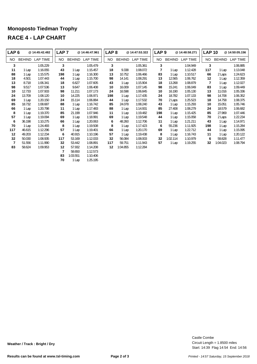## **Monoposto Tiedman Trophy RACE 4 - LAP CHART**

| LAP <sub>6</sub> |               | @ 14:45:42.482 | LAP <sub>7</sub> |               | @ 14:46:47.961 | LAP <sub>8</sub> |               | @ 14:47:53.322  | LAP <sub>9</sub> |               | @14:48:58.271   | <b>LAP 10</b> |          | @ 14:50:05.156 |
|------------------|---------------|----------------|------------------|---------------|----------------|------------------|---------------|-----------------|------------------|---------------|-----------------|---------------|----------|----------------|
| NO.              | <b>BEHIND</b> | LAP TIME       | NO.              | <b>BEHIND</b> | LAP TIME       | NO.              | <b>BEHIND</b> | <b>LAP TIME</b> | NO.              | <b>BEHIND</b> | <b>LAP TIME</b> | NO.           | BEHIND   | LAP TIME       |
| 3                |               | 1:05.229       | 3                |               | 1:05.479       | 3                |               | 1:05.361        | 3                |               | 1:04.949        | 3             |          | 1:06.885       |
| 11               | 1 Lap         | 1:16.055       | 43               | 1 Lap         | 1:15.457       | 18               | 9.338         | 1:08.072        |                  | 1 Lap         | 1:12.428        | 117           | 1 Lap    | 1:13.048       |
| 88               | 1 Lap         | 1:15.575       | 198              | 1 Lap         | 1:16.300       | 13               | 10.752        | 1:06.466        | 83               | 1 Lap         | 1:10.517        | 66            | 2 Laps   | 1:24.623       |
| 18               | 4.501         | 1:07.443       | 44               | 1 Lap         | 1:15.700       | 98               | 14.141        | 1:08.291        | 13               | 12.565        | 1:06.762        | 12            | 1 Lap    | 1:12.359       |
| 13               | 8.718         | 1:06.341       | 18               | 6.627         | 1:07.605       | 43               | 1 Lap         | 1:15.904        | 18               | 13.268        | 1:08.879        | 7             | 1 Lap    | 1:12.027       |
| 98               | 9.517         | 1:07.536       | 13               | 9.647         | 1:06.408       | 10               | 16.009        | 1:07.145        | 98               | 15.241        | 1:06.049        | 83            | 1 Lap    | 1:09.449       |
| 10               | 12.733        | 1:07.933       | 98               | 11.211        | 1:07.173       | 24               | 16.598        | 1:06.845        | 10               | 16.190        | 1:05.130        | 13            | 11.016   | 1:05.336       |
| 24               | 13.709        | 1:08.120       | 10               | 14.225        | 1:06.971       | 198              | 1 Lap         | 1:17.435        | 24               | 18.782        | 1:07.133        | 98            | 14.708   | 1:06.352       |
| 69               | 1 Lap         | 1:20.150       | 24               | 15.114        | 1:06.884       | 44               | 1 Lap         | 1:17.532        | 70               | 2 Laps        | 1:25.523        | 18            | 14.758   | 1:08.375       |
| 85               | 18.732        | 1:08.687       | 88               | 1 Lap         | 1:16.742       | 85               | 24.078        | 1:08.240        | 43               | 1 Lap         | 1:15.293        | 10            | 15.051   | 1:05.746       |
| 66               | 1 Lap         | 1:20.798       | 11               | 1 Lap         | 1:17.483       | 88               | 1 Lap         | 1:14.931        | 85               | 27.408        | 1:08.279        | 24            | 18.579   | 1:06.682       |
| 8                | 1 Lap         | 1:19.370       | 85               | 21.199        | 1:07.946       | 11               | 1 Lap         | 1:19.482        | 198              | 1 Lap         | 1:15.425        | 85            | 27.969   | 1:07.446       |
| 57               | 1 Lap         | 1:19.094       | 69               | 1 Lap         | 1:18.991       | 69               | 1 Lap         | 1:19.548        | 44               | 1 Lap         | 1:15.058        | 70            | 2 Laps   | 1:22.234       |
| 6                | 36.198        | 1:10.275       | 66               | 1 Lap         | 1:20.063       | 6                | 48.260        | 1:12.706        | 11               | 1 Lap         | 1:21.211        | 43            | 1 Lap    | 1:14.971       |
| 70               | 1 Lap         | 1:24.493       | 8                | 1 Lap         | 1:19.508       | 8                | 1 Lap         | 1:17.423        | 6                | 55.236        | 1:11.925        | 198           | 1 Lap    | 1:15.284       |
| 117              | 46.615        | 1:12.296       | 57               | 1 Lap         | 1:19.401       | 66               | 1 Lap         | 1:20.170        | 69               | 1 Lap         | 1:22.712        | 44            | 1 Lap    | 1:15.095       |
| 12               | 49.203        | 1:12.234       | 6                | 40.915        | 1:10.196       | 57               | 1 Lap         | 1:19.438        | 8                | 1 Lap         | 1:16.743        | 11            | 1 Lap    | 1:20.122       |
| 32               | 50.030        | 1:08.935       | 117              | 53.169        | 1:12.033       | 32               | 56.084        | 1:08.003        | 32               | 1:02.114      | 1:10.979        | 6             | 59.828   | 1:11.477       |
| $\overline{7}$   | 51.556        | 1:11.990       | 32               | 53.442        | 1:08.891       | 117              | 59.751        | 1:11.943        | 57               | 1 Lap         | 1:19.255        | 32            | 1:04.023 | 1:08.794       |
| 83               | 58.624        | 1:09.953       | 12               | 57.932        | 1:14.208       | $12 \,$          | 1:04.855      | 1:12.284        |                  |               |                 |               |          |                |
|                  |               |                | 7                | 58.650        | 1:12.573       |                  |               |                 |                  |               |                 |               |          |                |
|                  |               |                | 83               | 1:03.551      | 1:10.406       |                  |               |                 |                  |               |                 |               |          |                |

1 Lap 1:25.195

Start: 14:39 Flag 14:54 End: 14:56 Circuit Length = 1.8500 miles Castle Combe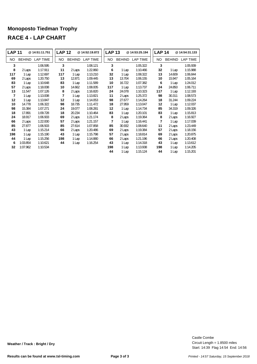## **Monoposto Tiedman Trophy RACE 4 - LAP CHART**

| <b>LAP 11</b>  |               | @14:51:11.751   | <b>LAP 12</b> |               | @ 14:52:19.872 | <b>LAP 13</b> |               | @14:53:25.194   | <b>LAP 14</b> |               | @14:54:31.133   |
|----------------|---------------|-----------------|---------------|---------------|----------------|---------------|---------------|-----------------|---------------|---------------|-----------------|
| NO.            | <b>BEHIND</b> | <b>LAP TIME</b> | NO.           | <b>BEHIND</b> | LAP TIME       | NO.           | <b>BEHIND</b> | <b>LAP TIME</b> | NO            | <b>BEHIND</b> | <b>LAP TIME</b> |
| 3              |               | 1:06.595        | 3             |               | 1:08.121       | 3             |               | 1:05.322        | 3             |               | 1:05.939        |
| 8              | 2 Laps        | 1:17.911        | 11            | 2 Laps        | 1:22.860       | 6             | 1 Lap         | 1:10.466        | 32            | 1 Lap         | 1:15.988        |
| 117            | 1 Lap         | 1:12.697        | 117           | 1 Lap         | 1:13.210       | 32            | 1 Lap         | 1:08.322        | 13            | 14.609        | 1:06.844        |
| 69             | 2 Laps        | 1:20.750        | 13            | 12.871        | 1:09.445       | 13            | 13.704        | 1:06.155        | 10            | 15.947        | 1:05.164        |
| 83             | 1 Lap         | 1:10.648        | 83            | 1 Lap         | 1:11.589       | 10            | 16.722        | 1:07.382        | 6             | 1 Lap         | 1:24.012        |
| 57             | 2 Laps        | 1:18.008        | 10            | 14.662        | 1:08.005       | 117           | 1 Lap         | 1:13.737        | 24            | 24.850        | 1:06.711        |
| 13             | 11.547        | 1:07.126        | 8             | 2 Laps        | 1:16.820       | 24            | 24.078        | 1:10.323        | 117           | 1 Lap         | 1:12.193        |
| $\overline{7}$ | 1 Lap         | 1:13.008        | 7             | 1 Lap         | 1:13.821       | 11            | 2 Laps        | 1:25.372        | 98            | 30.311        | 1:08.573        |
| 12             | 1 Lap         | 1:13.847        | 12            | 1 Lap         | 1:14.053       | 98            | 27.677        | 1:14.264        | 18            | 31.244        | 1:09.224        |
| 10             | 14.778        | 1:06.322        | 98            | 18.735        | 1:11.472       | 18            | 27.959        | 1:13.047        | 12            | 1 Lap         | 1:12.037        |
| 98             | 15.384        | 1:07.271        | 24            | 19.077        | 1:08.281       | 12            | 1 Lap         | 1:14.734        | 85            | 34.319        | 1:09.326        |
| 18             | 17.891        | 1:09.728        | 18            | 20.234        | 1:10.464       | 83            | 1 Lap         | 1:20.101        | 83            | 1 Lap         | 1:15.813        |
| 24             | 18.917        | 1:06.933        | 69            | 2 Laps        | 1:21.174       | 8             | 2 Laps        | 1:19.364        | 8             | 2 Laps        | 1:16.927        |
| 66             | 2 Laps        | 1:22.000        | 57            | 2 Laps        | 1:21.157       | 7             | 1 Lap         | 1:16.441        | 7             | 1 Lap         | 1:17.039        |
| 85             | 27.877        | 1:06.503        | 85            | 27.614        | 1:07.858       | 85            | 30.932        | 1:08.640        | 11            | 2 Laps        | 1:23.449        |
| 43             | 1 Lap         | 1:15.214        | 66            | 2 Laps        | 1:20.486       | 69            | 2 Laps        | 1:19.384        | 57            | 2 Laps        | 1:18.156        |
| 198            | 1 Lap         | 1:15.190        | 43            | 1 Lap         | 1:15.798       | 57            | 2 Laps        | 1:18.814        | 69            | 2 Laps        | 1:20.875        |
| 44             | 1 Lap         | 1:15.256        | 198           | 1 Lap         | 1:14.880       | 66            | 2 Laps        | 1:21.196        | 66            | 2 Laps        | 1:20.408        |
| 6              | 1:03.854      | 1:10.621        | 44            | 1 Lap         | 1:16.254       | 43            | 1 Lap         | 1:14.318        | 43            | 1 Lap         | 1:13.612        |
| 32             | 1:07.962      | 1:10.534        |               |               |                | 198           | 1 Lap         | 1:13.938        | 198           | 1 Lap         | 1:14.205        |
|                |               |                 |               |               |                | 44            | 1 Lap         | 1:15.124        | 44            | 1 Lap         | 1:15.201        |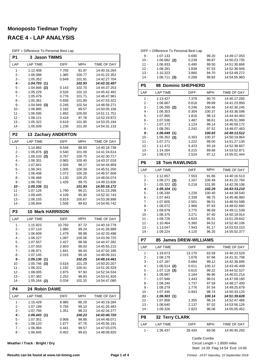# **Monoposto Tiedman Trophy RACE 4 - LAP ANALYSIS**

DIFF = Difference To Personal Best Lap

| P1             | 3 Jason TIMMS              |                |                  |                              |
|----------------|----------------------------|----------------|------------------|------------------------------|
| LAP            | <b>LAP TIME</b>            | <b>DIFF</b>    | <b>MPH</b>       | TIME OF DAY                  |
| $1 -$          | 1:12.408                   | 7.705          | 91.97            | 14:40:16.264                 |
| 2 -            | 1:06.088                   | 1.385          | 100.77           | 14:41:22.352                 |
| 3 -<br>$4 -$   | 1:05.352<br>1:04.703(1)    | 0.649          | 101.91           | 14:42:27.704                 |
| 5 -            | 1:04.846<br>(2)            | 0.143          | 102.93<br>102.70 | 14:43:32.407<br>14:44:37.253 |
| 6 -            | 1:05.229                   | 0.526          | 102.10           | 14:45:42.482                 |
| $7 -$          | 1:05.479                   | 0.776          | 101.71           | 14:46:47.961                 |
| 8 -            | 1:05.361                   | 0.658          | 101.89           | 14:47:53.322                 |
| 9 -            | $1:04.949$ (3)             | 0.246          | 102.54           | 14:48:58.271                 |
| $10 -$         | 1:06.885<br>1:06.595       | 2.182          | 99.57            | 14:50:05.156<br>14:51:11.751 |
| 11 -<br>$12 -$ | 1:08.121                   | 1.892<br>3.418 | 100.00<br>97.76  | 14:52:19.872                 |
| $13 -$         | 1:05.322                   | 0.619          | 101.95           | 14:53:25.194                 |
| $14 -$         | 1:05.939                   | 1.236          | 101.00           | 14:54:31.133                 |
| P <sub>2</sub> | <b>13 Zachary ANDERTON</b> |                |                  |                              |
| LAP            | <b>LAP TIME</b>            | <b>DIFF</b>    | <b>MPH</b>       | TIME OF DAY                  |
| 1 -            | 1:14.882                   | 9.546          | 88.93            | 14:40:18.738                 |
| 2 -            | $1:05.876$ (2)             | 0.540          | 101.09           | 14:41:24.614                 |
| 3 -            | $1:06.103$ (3)             | 0.767          | 100.75           | 14:42:30.717                 |
| $4 -$<br>5 -   | 1:06.301                   | 0.965<br>2.505 | 100.45<br>98.17  | 14:43:37.018<br>14:44:44.859 |
| 6 -            | 1:07.841<br>1:06.341       | 1.005          | 100.39           | 14:45:51.200                 |
| $7 -$          | 1:06.408                   | 1.072          | 100.28           | 14:46:57.608                 |
| 8 -            | 1:06.466                   | 1.130          | 100.20           | 14:48:04.074                 |
| 9 -            | 1:06.762                   | 1.426          | 99.75            | 14:49:10.836                 |
| $10 -$         | 1:05.336(1)                |                | 101.93           | 14:50:16.172                 |
| 11 -<br>$12 -$ | 1:07.126                   | 1.790          | 99.21            | 14:51:23.298<br>14:52:32.743 |
| $13 -$         | 1:09.445<br>1:06.155       | 4.109<br>0.819 | 95.90<br>100.67  | 14:53:38.898                 |
| $14 -$         | 1:06.844                   | 1.508          | 99.63            | 14:54:45.742                 |
| P <sub>3</sub> | <b>10 Mark HARRISON</b>    |                |                  |                              |
| LAP            | <b>LAP TIME</b>            | DIFF           | <b>MPH</b>       | TIME OF DAY                  |
| 1 -            | 1:15.923                   | 10.793         | 87.72            | 14:40:19.779                 |
| 2 -            | 1:07.110                   | 1.980          | 99.24            | 14:41:26.889                 |
| 3 -<br>4 -     | 1:06.609                   | 1.479          | 99.98            | 14:42:33.498                 |
| 5 -            | 1:06.227<br>1:07.557       | 1.097<br>2.427 | 100.56<br>98.58  | 14:43:39.725<br>14:44:47.282 |
| $6 -$          | 1:07.933                   | 2.803          | 98.03            | 14:45:55.215                 |
| 7 -            | 1:06.971                   | 1.841          | 99.44            | 14:47:02.186                 |
| $8 -$          | 1:07.145                   | 2.015          | 99.18            | 14:48:09.331                 |
| 9 -            | 1:05.130(1)                |                | 102.25           | 14:49:14.461                 |
| 10 -           | 1:05.746 (3)               | 0.616          | 101.29           | 14:50:20.207                 |
| $11 -$<br>12 - | 1:06.322<br>1:08.005       | 1.192<br>2.875 | 100.41<br>97.93  | 14:51:26.529<br>14:52:34.534 |
| $13 -$         | 1:07.382                   | 2.252          | 98.83            | 14:53:41.916                 |
| $14 -$         | $1:05.164$ (2)             | 0.034          | 102.20           | 14:54:47.080                 |
| P4             | 24 Robin DAWE              |                |                  |                              |
| LAP            | <b>LAP TIME</b>            | DIFF           | MPH              | TIME OF DAY                  |
| $1 -$          | 1:15.428                   | 8.985          | 88.29            | 14:40:19.284                 |
| 2 -            | 1:07.199                   | 0.756          | 99.10            | 14:41:26.483                 |
| $3 -$          | 1:07.794                   | 1.351          | 98.23            | 14:42:34.277                 |
| 4 -<br>$5 -$   | 1:06.443(1)                |                | 100.23           | 14:43:40.720                 |
| 6 -            | 1:07.351<br>1:08.120       | 0.908<br>1.677 | 98.88<br>97.76   | 14:44:48.071<br>14:45:56.191 |
| $7 -$          | 1:06.884                   | 0.441          | 99.57            | 14:47:03.075                 |
| 8 -            | 1:06.845                   | 0.402          | 99.63            | 14:48:09.920                 |

**Weather / Track : Bright / Dry**

|                  | DIFF = Difference To Personal Best Lap |                |                |                              |
|------------------|----------------------------------------|----------------|----------------|------------------------------|
| 9 -              | 1:07.133                               | 0.690          | 99.20          | 14:49:17.053                 |
| $10 -$           | $1:06.682$ (2)                         | 0.239          | 99.87          | 14:50:23.735                 |
| 11 -             | 1:06.933                               | 0.490          | 99.50          | 14:51:30.668                 |
| $12 -$           | 1:08.281                               | 1.838          | 97.53          | 14:52:38.949                 |
| $13 -$           | 1:10.323                               | 3.880          | 94.70          | 14:53:49.272                 |
| $14 -$           | 1:06.711<br>(3)                        | 0.268          | 99.83          | 14:54:55.983                 |
| P5               | <b>Dominic SHEPHERD</b><br>98          |                |                |                              |
| LAP              | <b>LAP TIME</b>                        | <b>DIFF</b>    | MPH            | TIME OF DAY                  |
| 1 -              | 1:13.427                               | 7.378          | 90.70          | 14:40:17.283                 |
| 2 -              | 1:06.667                               | 0.618          | 99.89          | 14:41:23.950                 |
| 3 -              | 1:06.295<br>(2)                        | 0.246          | 100.46         | 14:42:30.245                 |
| 4 -              | 1:06.353                               | 0.304          | 100.37         | 14:43:36.598                 |
| 5 -              | 1:07.865                               | 1.816          | 98.13          | 14:44:44.463                 |
| 6 -              | 1:07.536                               | 1.487          | 98.61          | 14:45:51.999                 |
| 7 -              | 1:07.173                               | 1.124          | 99.14          | 14:46:59.172                 |
| 8 -              | 1:08.291                               | 2.242          | 97.52          | 14:48:07.463                 |
| 9 -              | 1:06.049(1)                            |                | 100.83         | 14:49:13.512                 |
| $10 -$           | 1:06.352<br>(3)                        | 0.303          | 100.37         | 14:50:19.864                 |
| $11 -$           | 1:07.271                               | 1.222          | 99.00          | 14:51:27.135                 |
| $12 -$<br>$13 -$ | 1:11.472<br>1:14.264                   | 5.423          | 93.18          | 14:52:38.607                 |
| $14 -$           |                                        | 8.215          | 89.68          | 14:53:52.871                 |
|                  | 1:08.573                               | 2.524          | 97.12          | 14:55:01.444                 |
| P6               | <b>18 Tom RAWLINGS</b>                 |                |                |                              |
| LAP              | <b>LAP TIME</b>                        | DIFF           | MPH            | TIME OF DAY                  |
| 1 -              | 1:12.657                               | 7.553          | 91.66          | 14:40:16.513                 |
| $2 -$            | 1:06.271<br>(3)                        | 1.167          | 100.49         | 14:41:22.784                 |
| 3 -              | 1:05.322<br>(2)                        | 0.218          | 101.95         | 14:42:28.106                 |
| 4 -              | 1:05.104 (1)                           |                | 102.29         | 14:43:33.210                 |
| 5 -              | 1:06.330                               | 1.226          | 100.40         | 14:44:39.540                 |
| 6 -              | 1:07.443                               | 2.339          | 98.75          | 14:45:46.983                 |
| 7 -              | 1:07.605                               | 2.501          | 98.51          | 14:46:54.588                 |
| 8 -              | 1:08.072                               | 2.968          | 97.83          | 14:48:02.660                 |
| 9 -              | 1:08.879                               | 3.775          | 96.69          | 14:49:11.539                 |
| 10 -<br>$11 -$   | 1:08.375                               | 3.271          | 97.40          | 14:50:19.914                 |
| $12 -$           | 1:09.728<br>1:10.464                   | 4.624<br>5.360 | 95.51<br>94.51 | 14:51:29.642<br>14:52:40.106 |
| $13 -$           | 1:13.047                               | 7.943          | 91.17          | 14:53:53.153                 |
| $14 -$           | 1:09.224                               | 4.120          | 96.20          | 14:55:02.377                 |
|                  |                                        |                |                |                              |
| P7               | 85 James DREW-WILLIAMS                 |                |                |                              |
| LAP              | <b>LAP TIME</b>                        | <b>DIFF</b>    | <b>MPH</b>     | TIME OF DAY                  |
| 1 -              | 1:19.673                               | 13.170         | 83.59          | 14:40:23.529                 |
| $2 -$            | 1:08.179                               | 1.676          | 97.68          | 14:41:31.708                 |
| 3 -              | 1:07.187                               | 0.684          | 99.12          | 14:42:38.895                 |
| 4 -              | 1:06.514<br>(2)                        | 0.011          | 100.12         | 14:43:45.409                 |
| 5 -              | 1:07.118<br>(3)                        | 0.615          | 99.22          | 14:44:52.527                 |
| $6 -$            | 1:08.687                               | 2.184          | 96.96          | 14:46:01.214                 |
| 7 -              | 1:07.946                               | 1.443          | 98.01          | 14:47:09.160                 |
| 8 -              | 1:08.240                               | 1.737          | 97.59          | 14:48:17.400                 |
| 9 -              | 1:08.279                               | 1.776          | 97.54          | 14:49:25.679                 |
| $10 -$           | 1:07.446                               | 0.943          | 98.74          | 14:50:33.125                 |
| 11 -             | 1:06.503(1)                            |                | 100.14         | 14:51:39.628                 |
| 12 -             | 1:07.858                               | 1.355          | 98.14          | 14:52:47.486                 |
| 13 -             | 1:08.640                               | 2.137          | 97.02          | 14:53:56.126                 |
| $14 -$           | 1:09.326                               | 2.823          | 96.06          | 14:55:05.452                 |

| P8  | 32 Terry CLARK |             |       |              |
|-----|----------------|-------------|-------|--------------|
| LAP | I AP TIMF      | <b>DIFF</b> | MPH   | TIME OF DAY  |
| 1.  | 1:36.437       | 28.434      | 69.06 | 14:40:40.293 |

Castle Combe

Start: 14:39 Flag 14:54 End: 14:56 Circuit Length = 1.8500 miles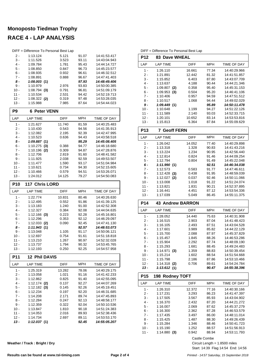# **Monoposto Tiedman Trophy RACE 4 - LAP ANALYSIS**

|            | DIFF = Difference To Personal Best Lap |             |            |              |
|------------|----------------------------------------|-------------|------------|--------------|
| 2 -        | 1:13.124                               | 5.121       | 91.07      | 14:41:53.417 |
| 3 -        | 1:11.526                               | 3.523       | 93.11      | 14:43:04.943 |
| 4 -        | 1:09.784                               | 1.781       | 95.43      | 14:44:14.727 |
| 5 -        | 1:08.850                               | 0.847       | 96.73      | 14:45:23.577 |
| 6 -        | 1:08.935                               | 0.932       | 96.61      | 14:46:32.512 |
| $7 -$      | 1:08.891                               | 0.888       | 96.67      | 14:47:41.403 |
| 8 -        | 1:08.003(1)                            |             | 97.93      | 14:48:49.406 |
| 9 -        | 1:10.979                               | 2.976       | 93.83      | 14:50:00.385 |
| $10 -$     | $1:08.794$ (3)                         | 0.791       | 96.81      | 14:51:09.179 |
| 11 -       | 1:10.534                               | 2.531       | 94.42      | 14:52:19.713 |
| $12 -$     | $1:08.322$ (2)                         | 0.319       | 97.48      | 14:53:28.035 |
| 13 -       | 1:15.988                               | 7.985       | 87.64      | 14:54:44.023 |
| P9         | <b>6 Peter VENN</b>                    |             |            |              |
| LAP        | <b>LAP TIME</b>                        | DIFF        | <b>MPH</b> | TIME OF DAY  |
| $1 -$      | 1:21.627                               | 11.740      | 81.59      | 14:40:25.483 |
| 2 -        | 1:10.430                               | 0.543       | 94.56      | 14:41:35.913 |
| 3 -        | 1:12.082                               | 2.195       | 92.39      | 14:42:47.995 |
| 4 -        | 1:10.523                               | 0.636       | 94.43      | 14:43:58.518 |
| 5 -        | 1:09.887(1)                            |             | 95.29      | 14:45:08.405 |
| 6 -        | $1:10.275$ (3)                         | 0.388       | 94.77      | 14:46:18.680 |
| 7 -        | $1:10.196$ (2)                         | 0.309       | 94.87      | 14:47:28.876 |
| 8 -        | 1:12.706                               | 2.819       | 91.60      | 14:48:41.582 |
| 9 -        | 1:11.925                               | 2.038       | 92.59      | 14:49:53.507 |
| $10 -$     | 1:11.477                               | 1.590       | 93.17      | 14:51:04.984 |
| 11 -       | 1:10.621                               | 0.734       | 94.30      | 14:52:15.605 |
| 12 -       | 1:10.466                               | 0.579       | 94.51      | 14:53:26.071 |
| 13 -       | 1:24.012                               | 14.125      | 79.27      | 14:54:50.083 |
| <b>P10</b> | 117 Chris LORD                         |             |            |              |
| LAP        | <b>LAP TIME</b>                        | <b>DIFF</b> | <b>MPH</b> | TIME OF DAY  |
| $1 -$      | 1:22.774                               | 10.831      | 80.46      | 14:40:26.630 |
| 2 -        | 1:12.495                               | 0.552       | 91.86      | 14:41:39.125 |
| 3 -        | 1:13.183                               | 1.240       | 91.00      | 14:42:52.308 |
| 4 -        | 1:12.327                               | 0.384       | 92.08      | 14:44:04.635 |
| 5 -        | $1:12.166$ (3)                         | 0.223       | 92.28      | 14:45:16.801 |
| 6 -        | 1:12.296                               | 0.353       | 92.12      | 14:46:29.097 |
| 7 -        | $1:12.033$ (2)                         | 0.090       | 92.45      | 14:47:41.130 |
| 8 -        | 1:11.943(1)                            |             | 92.57      | 14:48:53.073 |
| 9 -        | 1:13.048                               | 1.105       | 91.17      | 14:50:06.121 |
| $10 -$     | 1:12.697                               | 0.754       | 91.61      | 14:51:18.818 |
| 11 -       | 1:13.210                               | 1.267       | 90.97      | 14:52:32.028 |
| 12 -       | 1:13.737                               | 1.794       | 90.32      | 14:53:45.765 |
| $13 -$     | 1:12.193                               | 0.250       | 92.25      | 14:54:57.958 |
| <b>P11</b> | <b>12 Phil DAVIS</b>                   |             |            |              |
| LAP        | <b>LAP TIME</b>                        | <b>DIFF</b> | <b>MPH</b> | TIME OF DAY  |
| $1 -$      | 1:25.319                               | 13.282      | 78.06      | 14:40:29.175 |
| $2-$       | 1:13.058                               | 1.021       | 91.16      | 14:41:42.233 |
| $3 -$      | 1:12.862                               | 0.825       | 91.40      | 14:42:55.095 |
| 4 -        | $1:12.174$ (2)                         | 0.137       | 92.27      | 14:44:07.269 |
| $5 -$      | $1:12.182$ (3)                         | 0.145       | 92.26      | 14:45:19.451 |
| $6 -$      | 1:12.234                               | 0.197       | 92.20      | 14:46:31.685 |
| 7 -        | 1:14.208                               | 2.171       | 89.74      | 14:47:45.893 |
| 8 -        | 1:12.284                               | 0.247       | 92.13      | 14:48:58.177 |
| 9 -        | 1:12.359                               | 0.322       | 92.04      | 14:50:10.536 |
| 10 -       | 1:13.847                               | 1.810       | 90.18      | 14:51:24.383 |
| 11 -       | 1:14.053                               | 2.016       | 89.93      | 14:52:38.436 |
| 12 -       | 1:14.734                               | 2.697       | 89.11      | 14:53:53.170 |
| 13 -       | 1:12.037(1)                            |             | 92.45      | 14:55:05.207 |

**Weather / Track : Bright / Dry**

DIFF = Difference To Personal Best Lap

| <b>83 Dave WHEAL</b>       |                                                                                                                                                                                                                                        |                                                                                                                                                                            |                                                                                                                                                                                                                                                                                                                                                                                            |
|----------------------------|----------------------------------------------------------------------------------------------------------------------------------------------------------------------------------------------------------------------------------------|----------------------------------------------------------------------------------------------------------------------------------------------------------------------------|--------------------------------------------------------------------------------------------------------------------------------------------------------------------------------------------------------------------------------------------------------------------------------------------------------------------------------------------------------------------------------------------|
| <b>LAP TIME</b>            | <b>DIFF</b>                                                                                                                                                                                                                            | <b>MPH</b>                                                                                                                                                                 | TIME OF DAY                                                                                                                                                                                                                                                                                                                                                                                |
| 1:26.110                   | 16.661                                                                                                                                                                                                                                 | 77.34                                                                                                                                                                      | 14:40:29.966                                                                                                                                                                                                                                                                                                                                                                               |
|                            | 12.442                                                                                                                                                                                                                                 | 81.32                                                                                                                                                                      | 14:41:51.857                                                                                                                                                                                                                                                                                                                                                                               |
|                            |                                                                                                                                                                                                                                        |                                                                                                                                                                            | 14:43:07.709                                                                                                                                                                                                                                                                                                                                                                               |
|                            |                                                                                                                                                                                                                                        |                                                                                                                                                                            | 14:44:21.346                                                                                                                                                                                                                                                                                                                                                                               |
|                            |                                                                                                                                                                                                                                        |                                                                                                                                                                            | 14:45:31.153                                                                                                                                                                                                                                                                                                                                                                               |
|                            |                                                                                                                                                                                                                                        |                                                                                                                                                                            | 14:46:41.106<br>14:47:51.512                                                                                                                                                                                                                                                                                                                                                               |
|                            |                                                                                                                                                                                                                                        |                                                                                                                                                                            | 14:49:02.029                                                                                                                                                                                                                                                                                                                                                                               |
|                            |                                                                                                                                                                                                                                        |                                                                                                                                                                            | 14:50:11.478                                                                                                                                                                                                                                                                                                                                                                               |
| 1:10.648                   | 1.199                                                                                                                                                                                                                                  | 94.27                                                                                                                                                                      | 14:51:22.126                                                                                                                                                                                                                                                                                                                                                                               |
| 1:11.589                   | 2.140                                                                                                                                                                                                                                  | 93.03                                                                                                                                                                      | 14:52:33.715                                                                                                                                                                                                                                                                                                                                                                               |
| 1:20.101                   | 10.652                                                                                                                                                                                                                                 | 83.14                                                                                                                                                                      | 14:53:53.816                                                                                                                                                                                                                                                                                                                                                                               |
|                            |                                                                                                                                                                                                                                        | 87.84                                                                                                                                                                      | 14:55:09.629                                                                                                                                                                                                                                                                                                                                                                               |
| 7                          |                                                                                                                                                                                                                                        |                                                                                                                                                                            |                                                                                                                                                                                                                                                                                                                                                                                            |
| <b>LAP TIME</b>            | <b>DIFF</b>                                                                                                                                                                                                                            | <b>MPH</b>                                                                                                                                                                 | <b>TIME OF DAY</b>                                                                                                                                                                                                                                                                                                                                                                         |
| 1:26.042                   | 14.052                                                                                                                                                                                                                                 | 77.40                                                                                                                                                                      | 14:40:29.898                                                                                                                                                                                                                                                                                                                                                                               |
| 1:13.318                   |                                                                                                                                                                                                                                        | 90.83                                                                                                                                                                      | 14:41:43.216                                                                                                                                                                                                                                                                                                                                                                               |
|                            |                                                                                                                                                                                                                                        |                                                                                                                                                                            | 14:42:56.440                                                                                                                                                                                                                                                                                                                                                                               |
|                            |                                                                                                                                                                                                                                        |                                                                                                                                                                            | 14:44:09.254<br>14:45:22.048                                                                                                                                                                                                                                                                                                                                                               |
|                            |                                                                                                                                                                                                                                        |                                                                                                                                                                            | 14:46:34.038                                                                                                                                                                                                                                                                                                                                                                               |
|                            |                                                                                                                                                                                                                                        |                                                                                                                                                                            | 14:47:46.611                                                                                                                                                                                                                                                                                                                                                                               |
|                            | 0.438                                                                                                                                                                                                                                  | 91.95                                                                                                                                                                      | 14:48:59.039                                                                                                                                                                                                                                                                                                                                                                               |
|                            | 0.037                                                                                                                                                                                                                                  | 92.46                                                                                                                                                                      | 14:50:11.066                                                                                                                                                                                                                                                                                                                                                                               |
| 1:13.008                   | 1.018                                                                                                                                                                                                                                  | 91.22                                                                                                                                                                      | 14:51:24.074                                                                                                                                                                                                                                                                                                                                                                               |
| 1:13.821                   | 1.831                                                                                                                                                                                                                                  | 90.21                                                                                                                                                                      | 14:52:37.895                                                                                                                                                                                                                                                                                                                                                                               |
| 1:16.441                   |                                                                                                                                                                                                                                        |                                                                                                                                                                            | 14:53:54.336                                                                                                                                                                                                                                                                                                                                                                               |
|                            |                                                                                                                                                                                                                                        |                                                                                                                                                                            | 14:55:11.375                                                                                                                                                                                                                                                                                                                                                                               |
|                            |                                                                                                                                                                                                                                        |                                                                                                                                                                            |                                                                                                                                                                                                                                                                                                                                                                                            |
|                            |                                                                                                                                                                                                                                        |                                                                                                                                                                            |                                                                                                                                                                                                                                                                                                                                                                                            |
| <b>LAP TIME</b>            | <b>DIFF</b>                                                                                                                                                                                                                            | <b>MPH</b>                                                                                                                                                                 |                                                                                                                                                                                                                                                                                                                                                                                            |
| 1:28.052                   | 14.440                                                                                                                                                                                                                                 | 75.63                                                                                                                                                                      |                                                                                                                                                                                                                                                                                                                                                                                            |
| 1:16.515                   | 2.903                                                                                                                                                                                                                                  | 87.04                                                                                                                                                                      |                                                                                                                                                                                                                                                                                                                                                                                            |
| 1:16.105                   | 2.493                                                                                                                                                                                                                                  | 87.51                                                                                                                                                                      |                                                                                                                                                                                                                                                                                                                                                                                            |
| 1:17.601                   | 3.989                                                                                                                                                                                                                                  | 85.82                                                                                                                                                                      |                                                                                                                                                                                                                                                                                                                                                                                            |
| 1:15.700                   | 2.088                                                                                                                                                                                                                                  | 87.97                                                                                                                                                                      |                                                                                                                                                                                                                                                                                                                                                                                            |
| 1:15.457                   | 1.845                                                                                                                                                                                                                                  | 88.26                                                                                                                                                                      |                                                                                                                                                                                                                                                                                                                                                                                            |
| 1:15.904                   | 2.292                                                                                                                                                                                                                                  | 87.74                                                                                                                                                                      |                                                                                                                                                                                                                                                                                                                                                                                            |
| 1:15.293<br>$1:14.971$ (3) | 1.681<br>1.359                                                                                                                                                                                                                         | 88.45<br>88.83                                                                                                                                                             |                                                                                                                                                                                                                                                                                                                                                                                            |
| 1:15.214                   | 1.602                                                                                                                                                                                                                                  | 88.54                                                                                                                                                                      |                                                                                                                                                                                                                                                                                                                                                                                            |
| 1:15.798                   | 2.186                                                                                                                                                                                                                                  | 87.86                                                                                                                                                                      |                                                                                                                                                                                                                                                                                                                                                                                            |
| $1:14.318$ (2)             | 0.706                                                                                                                                                                                                                                  | 89.61                                                                                                                                                                      |                                                                                                                                                                                                                                                                                                                                                                                            |
| 1:13.612(1)                |                                                                                                                                                                                                                                        | 90.47                                                                                                                                                                      |                                                                                                                                                                                                                                                                                                                                                                                            |
| 198 Rodney TOFT            |                                                                                                                                                                                                                                        |                                                                                                                                                                            |                                                                                                                                                                                                                                                                                                                                                                                            |
| <b>LAP TIME</b>            | <b>DIFF</b>                                                                                                                                                                                                                            | MPH                                                                                                                                                                        |                                                                                                                                                                                                                                                                                                                                                                                            |
| 1:26.310                   | 12.372                                                                                                                                                                                                                                 | 77.16                                                                                                                                                                      |                                                                                                                                                                                                                                                                                                                                                                                            |
| 1:17.231                   | 3.293                                                                                                                                                                                                                                  | 86.23                                                                                                                                                                      |                                                                                                                                                                                                                                                                                                                                                                                            |
| 1:17.505                   | 3.567                                                                                                                                                                                                                                  | 85.93                                                                                                                                                                      |                                                                                                                                                                                                                                                                                                                                                                                            |
| 1:16.370<br>1:16.007       | 2.432<br>2.069                                                                                                                                                                                                                         | 87.20<br>87.62                                                                                                                                                             |                                                                                                                                                                                                                                                                                                                                                                                            |
| 1:16.300                   | 2.362                                                                                                                                                                                                                                  | 87.28                                                                                                                                                                      |                                                                                                                                                                                                                                                                                                                                                                                            |
| 1:17.435                   | 3.497                                                                                                                                                                                                                                  | 86.00                                                                                                                                                                      |                                                                                                                                                                                                                                                                                                                                                                                            |
| 1:15.425                   | 1.487                                                                                                                                                                                                                                  | 88.30                                                                                                                                                                      |                                                                                                                                                                                                                                                                                                                                                                                            |
| 1:15.284                   | 1.346                                                                                                                                                                                                                                  | 88.46                                                                                                                                                                      | TIME OF DAY<br>14:40:31.908<br>14:41:48.423<br>14:43:04.528<br>14:44:22.129<br>14:45:37.829<br>14:46:53.286<br>14:48:09.190<br>14:49:24.483<br>14:50:39.454<br>14:51:54.668<br>14:53:10.466<br>14:54:24.784<br>14:55:38.396<br>TIME OF DAY<br>14:40:30.166<br>14:41:47.397<br>14:43:04.902<br>14:44:21.272<br>14:45:37.279<br>14:46:53.579<br>14:48:11.014<br>14:49:26.439<br>14:50:41.723 |
| 1:15.190                   | 1.252                                                                                                                                                                                                                                  | 88.57                                                                                                                                                                      | 14:51:56.913                                                                                                                                                                                                                                                                                                                                                                               |
| $1:14.880$ (3)             | 0.942                                                                                                                                                                                                                                  | 88.94<br>Castle Combe                                                                                                                                                      | 14:53:11.793                                                                                                                                                                                                                                                                                                                                                                               |
|                            | 1:21.891<br>1:15.852<br>1:13.637<br>1:09.807<br>(2)<br>1:09.953<br>(3)<br>1:10.406<br>1:10.517<br>1:09.449(1)<br>1:15.813<br>1:13.224<br>1:12.814<br>1:12.794<br>1:11.990 (1)<br>1:12.573<br>1:12.428(3)<br>$1:12.027$ (2)<br>1:17.039 | 6.403<br>4.188<br>0.358<br>0.504<br>0.957<br>1.068<br>6.364<br><b>Geoff FERN</b><br>1.328<br>1.234<br>0.824<br>0.804<br>0.583<br>4.451<br>5.049<br><b>43 Andrew BARRON</b> | 87.80<br>90.44<br>95.40<br>95.20<br>94.59<br>94.44<br>95.89<br>90.95<br>91.46<br>91.49<br>92.51<br>91.77<br>87.12<br>86.45                                                                                                                                                                                                                                                                 |

Start: 14:39 Flag 14:54 End: 14:56 Circuit Length = 1.8500 miles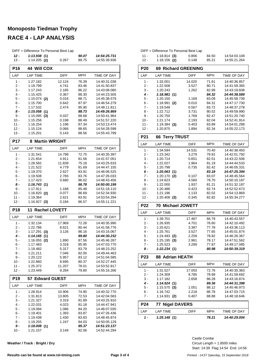#### **Monoposto Tiedman Trophy**

# **RACE 4 - LAP ANALYSIS**

|                 | DIFF = Difference To Personal Best Lap |                |                |                              |
|-----------------|----------------------------------------|----------------|----------------|------------------------------|
| 12 -            | 1:13.938(1)                            |                | 90.07          | 14:54:25.731                 |
| $13 -$          | $1:14.205$ (2)                         | 0.267          | 89.75          | 14:55:39.936                 |
| P <sub>16</sub> | <b>44 Will COX</b>                     |                |                |                              |
| LAP             | <b>LAP TIME</b>                        | <b>DIFF</b>    | <b>MPH</b>     | TIME OF DAY                  |
| $1 -$           | 1:27.182                               | 12.124         | 76.39          | 14:40:31.038                 |
| 2 -             | 1:19.799                               | 4.741          | 83.46          | 14:41:50.837                 |
| 3 -             | 1:17.243                               | 2.185          | 86.22          | 14:43:08.080                 |
| 4 -             | 1:15.425                               | 0.367          | 88.30          | 14:44:23.505                 |
| 5 -<br>6 -      | $1:15.074$ (2)<br>1:15.700             | 0.016          | 88.71          | 14:45:38.579<br>14:46:54.279 |
| 7 -             | 1:17.532                               | 0.642<br>2.474 | 87.97<br>85.90 | 14:48:11.811                 |
| 8 -             | 1:15.058(1)                            |                | 88.73          | 14:49:26.869                 |
| 9 -             | 1:15.095<br>(3)                        | 0.037          | 88.68          | 14:50:41.964                 |
| 10 -            | 1:15.256                               | 0.198          | 88.49          | 14:51:57.220                 |
| 11 -            | 1:16.254                               | 1.196          | 87.34          | 14:53:13.474                 |
| $12 -$          | 1:15.124                               | 0.066          | 88.65          | 14:54:28.598                 |
| 13 -            | 1:15.201                               | 0.143          | 88.56          | 14:55:43.799                 |
| <b>P17</b>      | <b>Martin WRIGHT</b><br>8              |                |                |                              |
| LAP             | <b>LAP TIME</b>                        | DIFF           | <b>MPH</b>     | TIME OF DAY                  |
| $1 -$           | 1:31.541                               | 14.798         | 72.75          | 14:40:35.397                 |
| 2 -             | 1:21.654                               | 4.911          | 81.56          | 14:41:57.051                 |
| 3 -             | 1:28.582                               | 11.839         | 75.18          | 14:43:25.633                 |
| 4 -             | 1:21.522                               | 4.779          | 81.69          | 14:44:47.155                 |
| 5 -             | 1:19.370                               | 2.627          | 83.91          | 14:46:06.525                 |
| 6 -<br>7 -      | 1:19.508<br>1:17.423                   | 2.765<br>0.680 | 83.76<br>86.02 | 14:47:26.033<br>14:48:43.456 |
| 8 -             | 1:16.743(1)                            |                | 86.78          | 14:50:00.199                 |
| 9 -             | 1:17.911                               | 1.168          | 85.48          | 14:51:18.110                 |
| $10 -$          | 1:16.820 (2)                           | 0.077          | 86.69          | 14:52:34.930                 |
| 11 -            | 1:19.364                               | 2.621          | 83.91          | 14:53:54.294                 |
| 12 -            | $1:16.927$ (3)                         | 0.184          | 86.57          | 14:55:11.221                 |
| <b>P18</b>      | <b>Rachel LOVETT</b><br>11             |                |                |                              |
| LAP             | <b>LAP TIME</b>                        | <b>DIFF</b>    | MPH            | TIME OF DAY                  |
| $1 -$           | 1:32.134                               | 17.969         | 72.28          | 14:40:35.990                 |
| 2 -             | 1:22.786                               | 8.621          | 80.44          | 14:41:58.776                 |
| 3 -             | 1:17.291<br>(3)                        | 3.126          | 86.16          | 14:43:16.067                 |
| 4 -             | 1:14.165<br>(1)                        |                | 89.80          | 14:44:30.232                 |
| 5 -             | $1:16.055$ (2)                         | 1.890          | 87.56          | 14:45:46.287                 |
| 6 -<br>$7 -$    | 1:17.483<br>1:19.482                   | 3.318<br>5.317 | 85.95<br>83.79 | 14:47:03.770<br>14:48:23.252 |
| 8 -             | 1:21.211                               | 7.046          | 82.00          | 14:49:44.463                 |
| 9 -             | 1:20.122                               | 5.957          | 83.12          | 14:51:04.585                 |
| 10 -            | 1:22.860                               | 8.695          | 80.37          | 14:52:27.445                 |
| $11 -$          | 1:25.372                               | 11.207         | 78.01          | 14:53:52.817                 |
| $12 -$          | 1:23.449                               | 9.284          | 79.80          | 14:55:16.266                 |
| <b>P19</b>      | 57 Edward GUEST                        |                |                |                              |
| LAP             | <b>LAP TIME</b>                        | DIFF           | <b>MPH</b>     | TIME OF DAY                  |
| $1 -$           | 1:28.914                               | 10.906         | 74.90          | 14:40:32.770                 |
| 2 -             | 1:31.813                               | 13.805         | 72.53          | 14:42:04.583                 |
| 3 -<br>$4 -$    | 1:21.327                               | 3.319          | 81.89          | 14:43:25.910                 |
| 5 -             | 1:22.031<br>1:19.094                   | 4.023<br>1.086 | 81.18<br>84.20 | 14:44:47.941<br>14:46:07.035 |
| 6 -             | 1:19.401                               | 1.393          | 83.87          | 14:47:26.436                 |
| $7 -$           | 1:19.438                               | 1.430          | 83.83          | 14:48:45.874                 |
| 8 -             | 1:19.255                               | 1.247          | 84.03          | 14:50:05.129                 |
| 9 -             | 1:18.008(1)                            |                | 85.37          | 14:51:23.137                 |
|                 |                                        | 3.149          | 82.06          | 14:52:44.294                 |

| 11 -<br>$12 -$  | $1:18.814$ (3)<br>$1:18.156$ (2) | 0.806          | 84.50          | 14:54:03.108<br>14:55:21.264 |
|-----------------|----------------------------------|----------------|----------------|------------------------------|
|                 |                                  | 0.148          | 85.21          |                              |
| <b>P20</b>      | <b>69 Richard GREENING</b>       |                |                |                              |
| LAP             | <b>LAP TIME</b>                  | <b>DIFF</b>    | <b>MPH</b>     | TIME OF DAY                  |
| $1 -$           | 1:33.001                         | 14.020         | 71.61          | 14:40:36.857                 |
| 2 -             | 1:22.508                         | 3.527          | 80.71          | 14:41:59.365                 |
| 3 -<br>4 -      | 1:20.243<br>1:18.981             | 1.262          | 82.99          | 14:43:19.608<br>14:44:38.589 |
| 5 -             | (1)<br>1:20.150                  | 1.169          | 84.32<br>83.09 | 14:45:58.739                 |
| 6 -             | 1:18.991<br>(2)                  | 0.010          | 84.31          | 14:47:17.730                 |
| 7 -             | 1:19.548                         | 0.567          | 83.72          | 14:48:37.278                 |
| 8 -             | 1:22.712                         | 3.731          | 80.52          | 14:49:59.990                 |
| 9 -             | 1:20.750                         | 1.769          | 82.47          | 14:51:20.740                 |
| $10 -$          | 1:21.174                         | 2.193          | 82.04          | 14:52:41.914                 |
| $11 -$          | 1:19.384<br>(3)                  | 0.403          | 83.89          | 14:54:01.298                 |
| $12 -$          | 1:20.875                         | 1.894          | 82.34          | 14:55:22.173                 |
| P <sub>21</sub> | <b>66 Terry TRUST</b>            |                |                |                              |
| LAP             | <b>LAP TIME</b>                  | <b>DIFF</b>    | <b>MPH</b>     | TIME OF DAY                  |
| $1 -$           | 1:34.594                         | 14.531         | 70.40          | 14:40:38.450                 |
| 2 -             | 1:23.342                         | 3.279          | 79.91          | 14:42:01.792                 |
| 3 -<br>4 -      | 1:20.714<br>1:22.027             | 0.651<br>1.964 | 82.51<br>81.19 | 14:43:22.506<br>14:44:44.533 |
| 5 -             | 1:20.798                         | 0.735          | 82.42          | 14:46:05.331                 |
| 6 -             | 1:20.063(1)                      |                | 83.18          | 14:47:25.394                 |
| $7 -$           | 1:20.170<br>(2)                  | 0.107          | 83.07          | 14:48:45.564                 |
| 8 -             | 1:24.623                         | 4.560          | 78.70          | 14:50:10.187                 |
| 9 -             | 1:22.000                         | 1.937          | 81.21          | 14:51:32.187                 |
| $10 -$          | 1:20.486                         | 0.423          | 82.74          | 14:52:52.673                 |
|                 |                                  |                |                |                              |
| 11 -            | 1:21.196                         | 1.133          | 82.02          | 14:54:13.869                 |
| $12 -$          | $1:20.408$ (3)                   | 0.345          | 82.82          | 14:55:34.277                 |
| <b>P22</b>      | 70 Michael JOWETT                |                |                |                              |
| LAP             | <b>LAP TIME</b>                  | DIFF           | <b>MPH</b>     | TIME OF DAY                  |
| $1 -$           | 1:39.701                         | 17.467         | 66.79          | 14:40:43.557                 |
| 2 -             | 1:26.935                         | 4.701          | 76.60          | 14:42:10.492                 |
| $3 -$           | 1:25.621                         | 3.387          | 77.78          | 14:43:36.113                 |
| 4 -             | 1:25.761                         | 3.527          | 77.65          | 14:45:01.874                 |
| 5 -             | 1:24.493<br>(2)                  | 2.259          | 78.82          | 14:46:26.367                 |
| 6 -<br>7 -      | 1:25.195<br>(3)<br>1:25.523      | 2.961          | 78.17<br>77.87 | 14:47:51.562<br>14:49:17.085 |
| 8 -             | 1:22.234(1)                      | 3.289          | 80.98          | 14:50:39.319                 |
| P <sub>23</sub> | <b>88 Adrian HEATH</b>           |                |                |                              |
| LAP             | <b>LAP TIME</b>                  | DIFF           | MPH            | TIME OF DAY                  |
| 1 -             | 1:31.527                         | 17.003         | 72.76          | 14:40:35.383                 |
| 2 -             | 1:24.309                         | 9.785          | 78.99          | 14:41:59.692                 |
| 3 -             | 1:17.182                         | 2.658          | 86.28          | 14:43:16.874                 |
| 4 -             | 1:14.524(1)                      |                | 89.36          | 14:44:31.398                 |
| $5 -$           | $1:15.575$ (3)                   | 1.051          | 88.12          | 14:45:46.973                 |
| 6 -<br>7 -      | 1:16.742<br>1:14.931<br>(2)      | 2.218<br>0.407 | 86.78<br>88.88 | 14:47:03.715<br>14:48:18.646 |
|                 |                                  |                |                |                              |
| P <sub>24</sub> | <b>77 Nigel DAVERS</b>           |                |                |                              |
| LAP<br>1 -      | <b>LAP TIME</b><br>1:25.148(1)   | DIFF           | MPH<br>78.21   | TIME OF DAY<br>14:40:29.004  |

DIFF = Difference To Personal Best Lap

Start: 14:39 Flag 14:54 End: 14:56 Circuit Length = 1.8500 miles Castle Combe

**Weather / Track : Bright / Dry**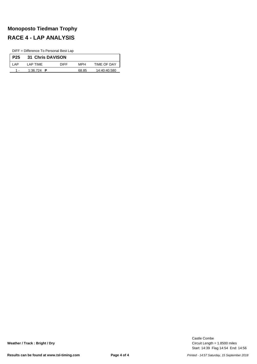# **Monoposto Tiedman Trophy RACE 4 - LAP ANALYSIS**

DIFF = Difference To Personal Best Lap

| P <sub>25</sub> | <b>31 Chris DAVISON</b> |             |       |                    |
|-----------------|-------------------------|-------------|-------|--------------------|
| AP              | I AP TIMF               | <b>DIFF</b> | MPH   | <b>TIME OF DAY</b> |
|                 | 1:36.724 <b>P</b>       |             | 68.85 | 14:40:40.580       |

Start: 14:39 Flag 14:54 End: 14:56 Circuit Length = 1.8500 miles Castle Combe

**Weather / Track : Bright / Dry**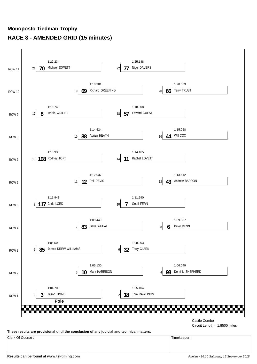# **Monoposto Tiedman Trophy RACE 8 - AMENDED GRID (15 minutes)**



**These results are provisional until the conclusion of any judicial and technical matters.**

Clerk Of Course : Timekeeper :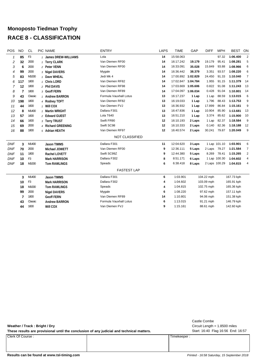# **Monoposto Tiedman Trophy RACE 8 - CLASSIFICATION**

| <b>POS</b>   | <b>NO</b> | <b>CL</b>      | PIC NAME              | <b>ENTRY</b>           | <b>LAPS</b> | <b>TIME</b>        | GAP    | <b>DIFF</b>   | <b>MPH</b>   | <b>BEST</b> | ON             |
|--------------|-----------|----------------|-----------------------|------------------------|-------------|--------------------|--------|---------------|--------------|-------------|----------------|
| $\mathcal I$ | 85        | F <sub>3</sub> | 1 James DREW-WILLIAMS | Lola                   | 14          | 15:58.063          |        |               | 97.32        | 1:06.400    | $\overline{2}$ |
| 2            | 32        | 2000           | 1 Terry CLARK         | Van Diemen RF00        | 14          | 16:17.242          | 19.179 | 19.179        | 95.41        | 1:08.281    | 5              |
| 3            | 6         | 2000           | 2 Peter VENN          | Van Diemen RF00        | 14          | 16:33.091          | 35.028 | 15.849        | 93.88        | 1:08.966    | 6              |
| 4            | 99        | 2000           | 3 Nigel DAVERS        | Mygale                 | 14          | 16:36.442          | 38.379 | 3.351         | 93.57        | 1:08.220    | 6              |
| 5            | 83        | M1000          | 1 Dave WHEAL          | Jedi Mk 4              | 14          | 17:00.892 1:02.829 |        | 24.450        | 91.33        | 1:10.040    | $\overline{7}$ |
| 6            | 117       | 1800           | 1 Chris LORD          | Van Diemen RF82        | 14          | 17:02.847 1:04.784 |        | 1.955         | 91.15        | 1:11.379    | 14             |
| 7            | 12        | 1800           | 2 Phil DAVIS          | Van Diemen RF98        | 14          | 17:03.669 1:05.606 |        | 0.822         | 91.08        | 1:11.243    | 13             |
| 8            | 7         | 1800           | 3 Geoff FERN          | Van Diemen RF89        | 14          | 17:04.097 1:06.034 |        | 0.428         | 91.04        | 1:10.801    | 14             |
| 9            | 43        | Classic        | 1 Andrew BARRON       | Formula Vauxhall Lotus | 13          | 16:17.237          | 1 Lap  | 1 Lap         | 88.59        | 1:13.015    | 6              |
| 10           | 198       | 1800           | 4 Rodney TOFT         | Van Diemen RF82        | 13          | 16:19.033          | 1 Lap  | 1.796         | 88.43        | 1:13.753    | 9              |
| 11           | 44        | 1600           | 1 Will COX            | Van Diemen FVJ         | 13          | 16:36.932          | 1 Lap  | 17.899        | 86.84        | 1:15.161    | 9              |
| 12           | 8         | M1400          | 1 Martin WRIGHT       | Dallara F301           | 13          | 16:47.836          | 1 Lap  | 10.904        | 85.90        | 1:13.681    | 13             |
| 13           | 57        | 1600           | 2 Edward GUEST        | Lola T640              | 13          | 16:51.210          | 1 Lap  | 3.374         | 85.62        | 1:15.900    | 10             |
| 14           | 66        | 1600           | 3 Terry TRUST         | Swift FR90             | 12          | 16:10.193          | 2 Laps | 1 Lap         | 82.37        | 1:18.584    | 9              |
| 15           | 69        | 2000           | 4 Richard GREENING    | Swift SC98             | 12          | 16:10.333          | 2 Laps | 0.140         | 82.36        | 1:18.188    | 12             |
| 16           | 88        | 1800           | 5 Adrian HEATH        | Van Diemen RF97        | 12          | 16:40.574          | 2 Laps | 30.241        | 79.87        | 1:20.049    | 9              |
|              |           |                |                       | NOT CLASSIFIED         |             |                    |        |               |              |             |                |
| <b>DNF</b>   | 3         | M1400          | <b>Jason TIMMS</b>    | Dallara F301           | 11          | 12:04.620          | 3 Laps |               | 1 Lap 101.10 | 1:03.901    | 6              |
| <b>DNF</b>   | 70        | 2000           | Michael JOWETT        | Van Diemen RF00        | 9           | 12:36.111          | 5 Laps | 2 Laps        | 79.27        | 1:21.584    | 7              |
| <b>DNF</b>   | 11        | 1800           | <b>Rachel LOVETT</b>  | Swift SC99Z            | 9           | 12:44.380          | 5 Laps | 8.269         | 78.41        | 1:15.265    | $\overline{2}$ |
| <b>DNF</b>   | 10        | F <sub>3</sub> | <b>Mark HARRISON</b>  | Dallara F302           | 8           | 8:51.171           | 6 Laps |               | 1 Lap 100.30 | 1:04.602    | 4              |
| <b>DNF</b>   | 18        | M1000          | <b>Tom RAWLINGS</b>   | Speads                 | 6           | 6:38.418           | 8 Laps | 2 Laps 100.29 |              | 1:04.815    | 4              |
|              |           |                |                       | <b>FASTEST LAP</b>     |             |                    |        |               |              |             |                |
|              | 3         | M1400          | <b>Jason TIMMS</b>    | Dallara F301           | 6           | 1:03.901           |        | 104.22 mph    |              | 167.73 kph  |                |
|              | 10        | F <sub>3</sub> | <b>Mark HARRISON</b>  | Dallara F302           | 4           | 1:04.602           |        | 103.09 mph    |              | 165.91 kph  |                |
|              | 18        | M1000          | <b>Tom RAWLINGS</b>   | Speads                 | 4           | 1:04.815           |        | 102.75 mph    |              | 165.36 kph  |                |
|              | 99        | 2000           | <b>Nigel DAVERS</b>   | Mygale                 | 6           | 1:08.220           |        | 97.62 mph     |              | 157.11 kph  |                |
|              | 7         | 1800           | <b>Geoff FERN</b>     | Van Diemen RF89        | 14          | 1:10.801           |        | 94.06 mph     |              | 151.38 kph  |                |
|              | 43        | Classic        | <b>Andrew BARRON</b>  | Formula Vauxhall Lotus | 6           | 1:13.015           |        | 91.21 mph     |              | 146.79 kph  |                |
|              | 44        | 1600           | Will COX              | Van Diemen FVJ         | 9           | 1:15.161           |        | 88.61 mph     |              | 142.60 kph  |                |

**Weather / Track : Bright / Dry**

These results are provisional until the conclusion of any judicial and technical matters. Start: 16:40 Flag 16:56 End: 16:57

Clerk Of Course : Timekeeper :

Circuit Length = 1.8500 miles Castle Combe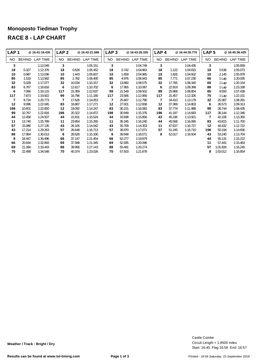#### **Monoposto Tiedman Trophy RACE 8 - LAP CHART**

| LAP <sub>1</sub> |               | @ 16:41:16.435  | LAP <sub>2</sub> |               | @ 16:42:21.586 | LAP <sub>3</sub> |               | @16:43:26.335 | LAP <sub>4</sub> |               | @16:44:30.770   | LAP <sub>5</sub> |               | @16:45:36.429   |
|------------------|---------------|-----------------|------------------|---------------|----------------|------------------|---------------|---------------|------------------|---------------|-----------------|------------------|---------------|-----------------|
| NO.              | <b>BEHIND</b> | <b>LAP TIME</b> | <b>NO</b>        | <b>BEHIND</b> | LAP TIME       | NO               | <b>BEHIND</b> | LAP TIME      | <b>NO</b>        | <b>BEHIND</b> | <b>LAP TIME</b> | NO.              | <b>BEHIND</b> | <b>LAP TIME</b> |
| 3                |               | 1:12.049        | 3                |               | 1:05.151       | 3                |               | 1:04.749      | 3                |               | 1:04.435        | 3                |               | 1:05.659        |
| 18               | 0.327         | 1:12.376        | 18               | 0.628         | 1:05.452       | 18               | 0.742         | 1:04.863      | 18               | 1.122         | 1:04.815        | 18               | 0.536         | 1:05.073        |
| 10               | 0.987         | 1:13.036        | 10               | 1.443         | 1:05.607       | 10               | 1.659         | 1:04.965      | 10               | 1.826         | 1:04.602        | 10               | 2.145         | 1:05.978        |
| 85               | 1.533         | 1:13.582        | 85               | 2.782         | 1:06.400       | 85               | 4.976         | 1:06.943      | 85               | 7.771         | 1:07.230        | 66               | 1 Lap         | 1:20.035        |
| 32               | 5.028         | 1:17.077        | 32               | 10.034        | 1:10.157       | 32               | 13.860        | 1:08.575      | 32               | 17.765        | 1:08.340        | 69               | 1 Lap         | 1:20.154        |
| 83               | 6.767         | 1:18.816        | 6                | 12.617        | 1:10.702       | 6                | 17.955        | 1:10.087      | 6                | 22.919        | 1:09.399        | 88               | 1 Lap         | 1:23.338        |
| 6                | 7.066         | 1:19.115        | 117              | 15.359        | 1:12.637       | 99               | 21.549        | 1:09.502      | 99               | 25.968        | 1:08.854        | 85               | 9.550         | 1:07.438        |
| 117              | 7.873         | 1:19.922        | 99               | 16.796        | 1:11.180       | 117              | 23.566        | 1:12.956      | 117              | 31.457        | 1:12.326        | 70               | 1 Lap         | 1:22.151        |
| $\overline{7}$   | 8.724         | 1:20.773        | 7                | 17.626        | 1:14.053       | 7                | 25.667        | 1:12.790      | 7                | 34.410        | 1:13.178        | 32               | 20.387        | 1:08.281        |
| 12               | 9.996         | 1:22.045        | 83               | 18.887        | 1:17.271       | 12               | 27.001        | 1:12.658      | 12               | 37.369        | 1:14.803        | 6                | 26.573        | 1:09.313        |
| 198              | 10.601        | 1:22.650        | 12               | 19.092        | 1:14.247       | 83               | 30.221        | 1:16.083      | 83               | 37.774        | 1:11.988        | 99               | 28.744        | 1:08.435        |
| 99               | 10.767        | 1:22.816        | 198              | 20.322        | 1:14.872       | 198              | 30.949        | 1:15.376      | 198              | 41.197        | 1:14.683        | 117              | 38.144        | 1:12.346        |
| 44               | 12.458        | 1:24.507        | 44               | 22.831        | 1:15.524       | 44               | 33.938        | 1:15.856      | 43               | 45.195        | 1:13.921        | 7                | 42.106        | 1:13.355        |
| 11               | 13.740        | 1:25.789        | 11               | 23.854        | 1:15.265       | 11               | 35.345        | 1:16.240      | 44               | 45.568        | 1:16.065        | 83               | 43.815        | 1:11.700        |
| 57               | 15.086        | 1:27.135        | 43               | 26.105        | 1:14.042       | 43               | 35.709        | 1:14.353      | 11               | 47.637        | 1:16.727        | 12               | 44.432        | 1:12.722        |
| 43               | 17.214        | 1:29.263        | 57               | 26.648        | 1:16.713       | 57               | 38.970        | 1:17.071      | 57               | 51.245        | 1:16.710        | 198              | 50.194        | 1:14.656        |
| 88               | 17.964        | 1:30.013        | 8                | 28.626        | 1:15.330       | 8                | 39.948        | 1:16.071      | 8                | 52.017        | 1:16.504        | 43               | 53.240        | 1:13.704        |
| 8                | 18.447        | 1:30.496        | 66               | 37.147        | 1:21.454       | 66               | 52.277        | 1:19.879      |                  |               |                 | 44               | 55.131        | 1:15.222        |
| 66               | 20.844        | 1:32.893        | 69               | 37.588        | 1:21.345       | 69               | 52.935        | 1:20.096      |                  |               |                 | 11               | 57.441        | 1:15.463        |
| 69               | 21.394        | 1:33.443        | 88               | 39.956        | 1:27.143       | 88               | 55.481        | 1:20.274      |                  |               |                 | 57               | 1:01.826      | 1:16.240        |
| 70               | 22.499        | 1:34.548        | 70               | 40.374        | 1:23.026       | 70               | 57.503        | 1:21.878      |                  |               |                 | 8                | 1:03.012      | 1:16.654        |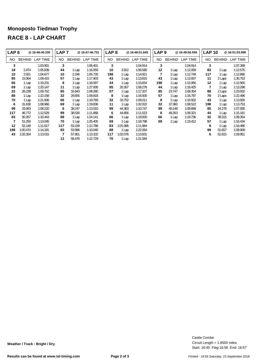## **Monoposto Tiedman Trophy RACE 8 - LAP CHART**

| LAP <sub>6</sub> |               | @ 16:46:40.330  | LAP <sub>7</sub> |               | @ 16:47:46.731 | LAP <sub>8</sub> |               | @16:48:51.645   | LAP <sub>9</sub> |               | @ 16:49:56.559 | <b>LAP 10</b> |               | @16:51:03.958   |
|------------------|---------------|-----------------|------------------|---------------|----------------|------------------|---------------|-----------------|------------------|---------------|----------------|---------------|---------------|-----------------|
| NO.              | <b>BEHIND</b> | <b>LAP TIME</b> | NO.              | <b>BEHIND</b> | LAP TIME       | NO.              | <b>BEHIND</b> | <b>LAP TIME</b> | NO.              | <b>BEHIND</b> | LAP TIME       | NO.           | <b>BEHIND</b> | <b>LAP TIME</b> |
| 3                |               | 1:03.901        | 3                |               | 1:06.401       | 3                |               | 1:04.914        | 3                |               | 1:04.914       | 3             |               | 1:07.399        |
| 18               | 2.474         | 1:05.839        | 44               | 1 Lap         | 1:16.059       | 10               | 3.912         | 1:06.580        | 12               | 1 Lap         | 1:12.059       | 83            | 1 Lap         | 1:12.575        |
| 10               | 2.921         | 1:04.677        | 10               | 2.246         | 1:05.726       | 198              | 1 Lap         | 1:14.921        | $\overline{7}$   | 1 Lap         | 1:12.749       | 117           | 1 Lap         | 1:12.890        |
| 85               | 15.064        | 1:09.415        | 57               | 1 Lap         | 1:17.903       | 43               | 1 Lap         | 1:13.815        | 43               | 1 Lap         | 1:13.937       | 11            | 2 Laps        | 1:35.753        |
| 66               | 1 Lap         | 1:19.231        | 8                | 1 Lap         | 1:18.597       | 44               | 1 Lap         | 1:15.654        | 198              | 1 Lap         | 1:15.956       | 12            | 1 Lap         | 1:12.900        |
| 69               | 1 Lap         | 1:20.147        | 11               | 1 Lap         | 1:27.930       | 85               | 20.307        | 1:08.278        | 44               | 1 Lap         | 1:16.425       |               | 1 Lap         | 1:13.298        |
| 32               | 26.238        | 1:09.752        | 85               | 16.943        | 1:08.280       | 57               | 1 Lap         | 1:17.207        | 85               | 23.747        | 1:08.354       | 88            | 2 Laps        | 1:23.002        |
| 88               | 1 Lap         | 1:22.158        | 32               | 29.655        | 1:09.818       | 8                | 1 Lap         | 1:16.500        | 57               | 1 Lap         | 1:16.797       | 70            | 2 Laps        | 1:22.496        |
| 70               | 1 Lap         | 1:21.906        | 66               | 1 Lap         | 1:19.769       | 32               | 33.752        | 1:09.011        | 8                | 1 Lap         | 1:16.502       | 43            | 1 Lap         | 1:13.830        |
| 6                | 31.638        | 1:08.966        | 69               | 1 Lap         | 1:19.836       | 11               | 1 Lap         | 1:32.022        | 32               | 37.360        | 1:08.522       | 198           | 1 Lap         | 1:13.753        |
| 99               | 33.063        | 1:08.220        | 6                | 38.247        | 1:13.010       | 99               | 44.363        | 1:10.747        | 99               | 49.148        | 1:09.699       | 85            | 24.278        | 1:07.930        |
| 117              | 46.772        | 1:12.529        | 99               | 38.530        | 1:11.868       | 6                | 44.856        | 1:11.523        | 6                | 49.263        | 1:09.321       | 44            | 1 Lap         | 1:15.161        |
| 83               | 50.357        | 1:10.443        | 88               | 1 Lap         | 1:24.141       | 66               | 1 Lap         | 1:19.920        | 66               | 1 Lap         | 1:19.736       | 32            | 39.315        | 1:09.354        |
| 7                | 51.250        | 1:13.045        | 70               | 1 Lap         | 1:25.405       | 69               | 1 Lap         | 1:18.798        | 69               | 1 Lap         | 1:19.412       | 57            | 1 Lap         | 1:16.434        |
| 12               | 52.148        | 1:11.617        | 117              | 53.159        | 1:12.788       | 83               | 1:01.066      | 1:11.984        |                  |               |                | 8             | 1 Lap         | 1:16.486        |
| 198              | 1:00.474      | 1:14.181        | 83               | 53.996        | 1:10.040       | 88               | 1 Lap         | 1:22.064        |                  |               |                | 99            | 51.657        | 1:09.908        |
| 43               | 1:02.354      | 1:13.015        | 7                | 57.951        | 1:13.102       | 117              | 1:02.076      | 1:13.831        |                  |               |                | 6             | 51.815        | 1:09.951        |
|                  |               |                 | 12               | 58.476        | 1:12.729       | 70               | 1 Lap         | 1:21.584        |                  |               |                |               |               |                 |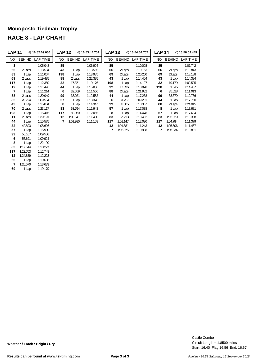## **Monoposto Tiedman Trophy RACE 8 - LAP CHART**

| LAP <sub>11</sub> |               | @ 16:52:09.006 | <b>LAP 12</b> |               | @16:53:44.704 | <b>LAP 13</b> |               | @16:54:54.707   | <b>LAP 14</b> |               | @16:56:02.449 |
|-------------------|---------------|----------------|---------------|---------------|---------------|---------------|---------------|-----------------|---------------|---------------|---------------|
| NO.               | <b>BEHIND</b> | LAP TIME       | NO.           | <b>BEHIND</b> | LAP TIME      | NO.           | <b>BEHIND</b> | <b>LAP TIME</b> | NO.           | <b>BEHIND</b> | LAP TIME      |
| 3                 |               | 1:05.048       | 85            |               | 1:06.904      | 85            |               | 1:10.003        | 85            |               | 1:07.742      |
| 66                | 2 Laps        | 1:18.584       | 43            | 1 Lap         | 1:13.555      | 66            | 2 Laps        | 1:19.163        | 66            | 2 Laps        | 1:19.843      |
| 83                | 1 Lap         | 1:11.007       | 198           | 1 Lap         | 1:13.985      | 69            | 2 Laps        | 1:20.250        | 69            | 2 Laps        | 1:18.188      |
| 69                | 2 Laps        | 1:19.485       | 88            | 2 Laps        | 1:22.395      | 43            | 1 Lap         | 1:14.404        | 43            | 1 Lap         | 1:14.394      |
| 117               | 1 Lap         | 1:12.350       | 32            | 17.371        | 1:10.176      | 198           | 1 Lap         | 1:14.127        | 32            | 19.179        | 1:09.525      |
| 12                | 1 Lap         | 1:11.476       | 44            | 1 Lap         | 1:15.886      | 32            | 17.396        | 1:10.028        | 198           | 1 Lap         | 1:14.457      |
| $\overline{7}$    | 1 Lap         | 1:11.214       | 6             | 32.559        | 1:11.566      | 88            | 2 Laps        | 1:21.982        | 6             | 35.028        | 1:11.013      |
| 88                | 2 Laps        | 1:20.049       | 99            | 33.021        | 1:12.552      | 44            | 1 Lap         | 1:17.238        | 99            | 38.379        | 1:12.736      |
| 85                | 28.794        | 1:09.564       | 57            | 1 Lap         | 1:18.378      | 6             | 31.757        | 1:09.201        | 44            | 1 Lap         | 1:17.760      |
| 43                | 1 Lap         | 1:15.004       | 8             | 1 Lap         | 1:14.347      | 99            | 33.385        | 1:10.367        | 88            | 2 Laps        | 1:24.015      |
| 70                | 2 Laps        | 1:23.117       | 83            | 53.764        | 1:11.948      | 57            | 1 Lap         | 1:17.038        | 8             | 1 Lap         | 1:13.681      |
| 198               | 1 Lap         | 1:15.416       | 117           | 59.060        | 1:12.055      | 8             | 1 Lap         | 1:14.478        | 57            | 1 Lap         | 1:17.684      |
| 11                | 2 Laps        | 1:39.191       | 12            | 1:00.641      | 1:11.480      | 83            | 57.213        | 1:13.452        | 83            | 1:02.829      | 1:13.358      |
| 44                | 1 Lap         | 1:15.575       | 7             | 1:01.980      | 1:11.108      | 117           | 1:01.147      | 1:12.090        | 117           | 1:04.784      | 1:11.379      |
| 32                | 42.893        | 1:08.626       |               |               |               | 12            | 1:01.881      | 1:11.243        | 12            | 1:05.606      | 1:11.467      |
| 57                | 1 Lap         | 1:15.900       |               |               |               | 7             | 1:02.975      | 1:10.998        | 7             | 1:06.034      | 1:10.801      |
| 99                | 56.167        | 1:09.558       |               |               |               |               |               |                 |               |               |               |
| 6                 | 56.691        | 1:09.924       |               |               |               |               |               |                 |               |               |               |
| 8                 | 1 Lap         | 1:22.190       |               |               |               |               |               |                 |               |               |               |
| 83                | 1:17.514      | 1:10.227       |               |               |               |               |               |                 |               |               |               |
| 117               | 1:22.703      | 1:12.748       |               |               |               |               |               |                 |               |               |               |

 1 Lap 1:19.686 1:26.570 1:13.633

1:24.859 1:12.223

1 Lap 1:19.179

Start: 16:40 Flag 16:56 End: 16:57 Circuit Length = 1.8500 miles Castle Combe

**Weather / Track : Bright / Dry**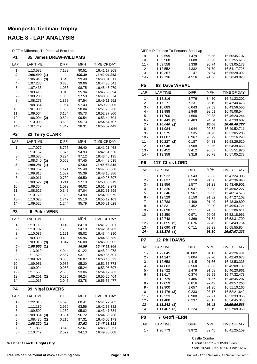# **Monoposto Tiedman Trophy RACE 8 - LAP ANALYSIS**

| DIFF = Difference To Personal Best Lap |  |  |  |
|----------------------------------------|--|--|--|
|----------------------------------------|--|--|--|

| P1               | 85 James DREW-WILLIAMS        |                |                 |                              |
|------------------|-------------------------------|----------------|-----------------|------------------------------|
| LAP              | <b>LAP TIME</b>               | DIFF           | <b>MPH</b>      | TIME OF DAY                  |
| 1 -              | 1:13.582                      | 7.182          | 90.51           | 16:41:17.968                 |
| 2 -<br>3 -       | 1:06.400(1)<br>$1:06.943$ (3) | 0.543          | 100.30<br>99.48 | 16:42:24.368<br>16:43:31.311 |
| $4 -$            | 1:07.230                      | 0.830          | 99.06           | 16:44:38.541                 |
| 5 -              | 1:07.438                      | 1.038          | 98.75           | 16:45:45.979                 |
| 6 -              | 1:09.415                      | 3.015          | 95.94           | 16:46:55.394                 |
| $7 -$            | 1:08.280                      | 1.880          | 97.53           | 16:48:03.674                 |
| 8 -              | 1:08.278                      | 1.878          | 97.54           | 16:49:11.952                 |
| 9 -              | 1:08.354                      | 1.954          | 97.43           | 16:50:20.306                 |
| $10 -$           | 1:07.930                      | 1.530          | 98.04           | 16:51:28.236                 |
| 11 -<br>$12 -$   | 1:09.564<br>$1:06.904$ (2)    | 3.164<br>0.504 | 95.73<br>99.54  | 16:52:37.800<br>16:53:44.704 |
| $13 -$           | 1:10.003                      | 3.603          | 95.13           | 16:54:54.707                 |
| $14 -$           | 1:07.742                      | 1.342          | 98.31           | 16:56:02.449                 |
| P <sub>2</sub>   | 32 Terry CLARK                |                |                 |                              |
| LAP              | <b>LAP TIME</b>               | DIFF           | MPH             | TIME OF DAY                  |
| 1 -              | 1:17.077                      | 8.796          | 86.40           | 16:41:21.463                 |
| 2 -              | 1:10.157                      | 1.876          | 94.93           | 16:42:31.620                 |
| 3 -              | 1:08.575                      | 0.294          | 97.12           | 16:43:40.195                 |
| 4 -              | $1:08.340$ (2)                | 0.059          | 97.45           | 16:44:48.535                 |
| 5 -<br>6 -       | 1:08.281 (1)<br>1:09.752      | 1.471          | 97.53<br>95.48  | 16:45:56.816<br>16:47:06.568 |
| $7 -$            | 1:09.818                      | 1.537          | 95.39           | 16:48:16.386                 |
| 8 -              | 1:09.011                      | 0.730          | 96.50           | 16:49:25.397                 |
| 9 -              | $1:08.522$ (3)                | 0.241          | 97.19           | 16:50:33.919                 |
| $10 -$           | 1:09.354                      | 1.073          | 96.02           | 16:51:43.273                 |
| $11 -$           | 1:08.626                      | 0.345          | 97.04           | 16:52:51.899                 |
| $12 -$           | 1:10.176                      | 1.895          | 94.90           | 16:54:02.075                 |
| $13 -$           | 1:10.028                      | 1.747          | 95.10           | 16:55:12.103                 |
| $14 -$           | 1:09.525                      | 1.244          | 95.79           | 16:56:21.628                 |
| P <sub>3</sub>   | <b>Peter VENN</b><br>6        |                |                 |                              |
| LAP              | <b>LAP TIME</b>               | DIFF           | <b>MPH</b>      | TIME OF DAY                  |
| $1 -$            | 1:19.115                      | 10.149         | 84.18           | 16:41:23.501                 |
| 2 -<br>3 -       | 1:10.702<br>1:10.087          | 1.736<br>1.121 | 94.19<br>95.02  | 16:42:34.203<br>16:43:44.290 |
| 4 -              | 1:09.399                      | 0.433          | 95.96           | 16:44:53.689                 |
| 5 -              | $1:09.313$ (3)                | 0.347          | 96.08           | 16:46:03.002                 |
| $6 -$            | 1:08.966(1)                   |                | 96.56           | 16:47:11.968                 |
| 7 -              | 1:13.010                      | 4.044          | 91.22           | 16:48:24.978                 |
| 8 -              | 1:11.523                      | 2.557          | 93.11           | 16:49:36.501                 |
| 9 -              | 1:09.321                      | 0.355          | 96.07           | 16:50:45.822                 |
| $10 -$<br>$11 -$ | 1:09.951                      | 0.985          | 95.20<br>95.24  | 16:51:55.773<br>16:53:05.697 |
| $12 -$           | 1:09.924<br>1:11.566          | 0.958<br>2.600 | 93.06           | 16:54:17.263                 |
| $13 -$           | $1:09.201$ (2)                | 0.235          | 96.24           | 16:55:26.464                 |
| $14 -$           | 1:11.013                      | 2.047          | 93.78           | 16:56:37.477                 |
| P4               | 99 Nigel DAVERS               |                |                 |                              |
| LAP              | <b>LAP TIME</b>               | <b>DIFF</b>    | MPH             | TIME OF DAY                  |
| 1 -              | 1:22.816                      | 14.596         | 80.41           | 16:41:27.202                 |
| 2 -              | 1:11.180                      | 2.960          | 93.56           | 16:42:38.382                 |
| 3 -              | 1:09.502                      | 1.282          | 95.82           | 16:43:47.884                 |
| 4 -              | $1:08.854$ (3)                | 0.634          | 96.72           | 16:44:56.738                 |
| $5 -$            | $1:08.435$ (2)                | 0.215          | 97.31           | 16:46:05.173                 |
| 6 -<br>$7 -$     | 1:08.220(1)<br>1:11.868       | 3.648          | 97.62<br>92.67  | 16:47:13.393<br>16:48:25.261 |
|                  |                               |                |                 |                              |
| 8 -              | 1:10.747                      | 2.527          | 94.13           | 16:49:36.008                 |

**Weather / Track : Bright / Dry**

|                | DIFF = Difference To Personal Best Lap |                |                |                              |
|----------------|----------------------------------------|----------------|----------------|------------------------------|
| 9 -            | 1:09.699                               | 1.479          | 95.55          | 16:50:45.707                 |
| $10 -$         | 1:09.908                               | 1.688          | 95.26          | 16:51:55.615                 |
| $11 -$         | 1:09.558                               | 1.338          | 95.74          | 16:53:05.173                 |
| $12 -$         | 1:12.552                               | 4.332          | 91.79          | 16:54:17.725                 |
| $13 -$         | 1:10.367                               | 2.147          | 94.64          | 16:55:28.092                 |
| $14 -$         | 1:12.736                               | 4.516          | 91.56          | 16:56:40.828                 |
| P <sub>5</sub> | <b>83 Dave WHEAL</b>                   |                |                |                              |
| LAP            | <b>LAP TIME</b>                        | DIFF           | MPH            | TIME OF DAY                  |
| 1 -            | 1:18.816                               | 8.776          | 84.50          | 16:41:23.202                 |
| $2-$           | 1:17.271                               | 7.231          | 86.19          | 16:42:40.473                 |
| 3 -            | 1:16.083                               | 6.043          | 87.53          | 16:43:56.556                 |
| 4 -            | 1:11.988                               | 1.948          | 92.51          | 16:45:08.544                 |
| 5 -            | 1:11.700                               | 1.660          | 92.88          | 16:46:20.244                 |
| 6 -            | 1:10.443(3)                            | 0.403          | 94.54          | 16:47:30.687                 |
| 7 -            | 1:10.040(1)                            |                | 95.08          | 16:48:40.727                 |
| 8 -            | 1:11.984                               | 1.944          | 92.52          | 16:49:52.711                 |
| 9 -            | 1:12.575                               | 2.535          | 91.76          | 16:51:05.286                 |
| 10 -<br>$11 -$ | 1:11.007<br>$1:10.227$ (2)             | 0.967          | 93.79          | 16:52:16.293<br>16:53:26.520 |
| $12 -$         | 1:11.948                               | 0.187<br>1.908 | 94.83<br>92.56 | 16:54:38.468                 |
| 13 -           | 1:13.452                               | 3.412          | 90.67          | 16:55:51.920                 |
| $14 -$         | 1:13.358                               | 3.318          | 90.78          | 16:57:05.278                 |
|                |                                        |                |                |                              |
| P6             | <b>117 Chris LORD</b>                  |                |                |                              |
| LAP            | <b>LAP TIME</b>                        | <b>DIFF</b>    | <b>MPH</b>     | TIME OF DAY                  |
| 1 -            | 1:19.922                               | 8.543          | 83.33          | 16:41:24.308                 |
| $2-$<br>3 -    | 1:12.637<br>1:12.956                   | 1.258<br>1.577 | 91.68<br>91.28 | 16:42:36.945<br>16:43:49.901 |
| 4 -            | 1:12.326                               | 0.947          | 92.08          | 16:45:02.227                 |
| 5 -            | 1:12.346                               | 0.967          | 92.05          | 16:46:14.573                 |
| 6 -            | 1:12.529                               | 1.150          | 91.82          | 16:47:27.102                 |
| 7 -            | 1:12.788                               | 1.409          | 91.49          | 16:48:39.890                 |
| 8 -            | 1:13.831                               | 2.452          | 90.20          | 16:49:53.721                 |
| 9 -            | 1:12.890                               | 1.511          | 91.37          | 16:51:06.611                 |
| $10 -$         | 1:12.350                               | 0.971          | 92.05          | 16:52:18.961                 |
| $11 -$         | 1:12.748<br>$1:12.055$ (2)             | 1.369          | 91.54          | 16:53:31.709                 |
| 12 -<br>$13 -$ | 1:12.090<br>(3)                        | 0.676<br>0.711 | 92.42<br>92.38 | 16:54:43.764<br>16:55:55.854 |
| 14 -           | 1:11.379(1)                            |                | 93.30          | 16:57:07.233                 |
| P7             | <b>12 Phil DAVIS</b>                   |                |                |                              |
| LAP            | <b>LAP TIME</b>                        | DIFF           | MPH            | TIME OF DAY                  |
| 1 -            | 1:22.045                               | 10.802         | 81.17          | 16:41:26.431                 |
| 2 -            | 1:14.247                               | 3.004          | 89.70          | 16:42:40.678                 |
| 3 -            | 1:12.658                               | 1.415          | 91.66          | 16:43:53.336                 |
| 4 -            | 1:14.803                               | 3.560          | 89.03          | 16:45:08.139                 |
| 5 -            | 1:12.722                               | 1.479          | 91.58          | 16:46:20.861                 |
| 6 -<br>7 -     | 1:11.617                               | 0.374          | 92.99<br>91.57 | 16:47:32.478                 |
| 8 -            | 1:12.729<br>1:12.059                   | 1.486<br>0.816 | 92.42          | 16:48:45.207<br>16:49:57.266 |
| 9 -            | 1:12.900                               | 1.657          | 91.35          | 16:51:10.166                 |
| 10 -           | $1:11.476$ (3)                         | 0.233          | 93.17          | 16:52:21.642                 |
| 11 -           | 1:12.223                               | 0.980          | 92.21          | 16:53:33.865                 |
| 12 -           | 1:11.480                               | 0.237          | 93.17          | 16:54:45.345                 |
| 13 -           | 1:11.243(1)                            |                | 93.48          | 16:55:56.588                 |
| 14 -           | $1:11.467$ (2)                         | 0.224          | 93.19          | 16:57:08.055                 |
| P8             | <b>Geoff FERN</b><br>7                 |                |                |                              |
| LAP            | <b>LAP TIME</b>                        | DIFF           | MPH            | TIME OF DAY                  |

| $1 -$ | 1:20.773 | 9.972 | 82.45        | 16:41:25.159 |
|-------|----------|-------|--------------|--------------|
|       |          |       | Castle Combe |              |

Start: 16:40 Flag 16:56 End: 16:57 Circuit Length = 1.8500 miles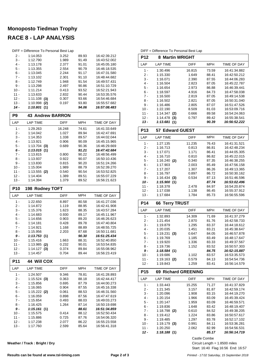# **Monoposto Tiedman Trophy RACE 8 - LAP ANALYSIS**

| P9     | <b>43 Andrew BARRON</b>                |       |       |              |
|--------|----------------------------------------|-------|-------|--------------|
| $14 -$ | 1:10.801<br>(1)                        |       | 94.06 | 16:57:08.483 |
| $13 -$ | 1:10.998<br>(2)                        | 0.197 | 93.80 | 16.55.57.682 |
| $12 -$ | 1:11.108<br>(3)                        | 0.307 | 93.66 | 16.54.46.684 |
| 11 -   | 1:13.633                               | 2.832 | 90.44 | 16:53:35.576 |
| $10 -$ | 1:11.214                               | 0.413 | 93.52 | 16:52:21.943 |
| $9 -$  | 1:13.298                               | 2.497 | 90.86 | 16.51.10.729 |
| $8 -$  | 1:12.749                               | 1.948 | 91.54 | 16:49:57.431 |
| 7 -    | 1:13.102                               | 2.301 | 91.10 | 16:48:44.682 |
| $6 -$  | 1:13.045                               | 2.244 | 91.17 | 16:47:31.580 |
| $5 -$  | 1:13.355                               | 2.554 | 90.79 | 16:46:18.535 |
| $4 -$  | 1:13.178                               | 2.377 | 91.01 | 16:45:05.180 |
| $3 -$  | 1:12.790                               | 1.989 | 91.49 | 16:43:52.002 |
| 2 -    | 1:14.053                               | 3.252 | 89.93 | 16:42:39.212 |
|        | DIFF = Difference To Personal Best Lap |       |       |              |

| LAP        | <b>LAP TIME</b> | <b>DIFF</b> | <b>MPH</b> | TIME OF DAY  |
|------------|-----------------|-------------|------------|--------------|
| 1 -        | 1:29.263        | 16.248      | 74.61      | 16:41:33.649 |
| 2 -        | 1:14.042        | 1.027       | 89.94      | 16:42:47.691 |
| $3 -$      | 1:14.353        | 1.338       | 89.57      | 16:44:02.044 |
| $4 -$      | 1:13.921        | 0.906       | 90.09      | 16:45:15.965 |
| 5 -        | $1:13.704$ (3)  | 0.689       | 90.36      | 16:46:29.669 |
| 6 -        | 1:13.015<br>(1) |             | 91.21      | 16:47:42.684 |
| $7 -$      | 1:13.815        | 0.800       | 90.22      | 16:48:56.499 |
| 8 -        | 1:13.937        | 0.922       | 90.07      | 16:50:10.436 |
| 9 -        | 1:13.830        | 0.815       | 90.20      | 16:51:24.266 |
| $10 -$     | 1:15.004        | 1.989       | 88.79      | 16:52:39.270 |
| $11 -$     | $1:13.555$ (2)  | 0.540       | 90.54      | 16:53:52.825 |
| $12 -$     | 1:14.404        | 1.389       | 89.51      | 16:55:07.229 |
| $13 -$     | 1:14.394        | 1.379       | 89.52      | 16:56:21.623 |
| <b>P10</b> | 198 Rodney TOFT |             |            |              |
| LAP        | <b>LAP TIME</b> | <b>DIFF</b> | <b>MPH</b> | TIME OF DAY  |
| 1 -        | 1:22.650        | 8.897       | 80.58      | 16:41:27.036 |
| $2 -$      | 1:14.872        | 1.119       | 88.95      | 16:42:41.908 |
| $3 -$      | 1:15.376        | 1.623       | 88.35      | 16:43:57.284 |
| 4 -        | 1:14.683        | 0.930       | 89.17      | 16:45:11.967 |
| -          | .               | 0.000       | 0000       | 10.10.00.000 |

| 5 -        | 1:14.656        | 0.903       | 89.20 | 16.46.26.623 |
|------------|-----------------|-------------|-------|--------------|
| $6 -$      | 1:14.181        | 0.428       | 89.78 | 16:47:40.804 |
| $7 -$      | 1:14.921        | 1.168       | 88.89 | 16:48:55.725 |
| $8 -$      | 1:15.956        | 2.203       | 87.68 | 16:50:11.681 |
| 9 -        | 1:13.753(1)     |             | 90.30 | 16:51:25.434 |
| $10 -$     | 1:15.416        | 1.663       | 88.31 | 16:52:40.850 |
| $11 -$     | 1:13.985 (2)    | 0.232       | 90.01 | 16:53:54.835 |
| $12 -$     | $1:14.127$ (3)  | 0.374       | 89.84 | 16:55:08.962 |
| $13 -$     | 1:14.457        | 0.704       | 89.44 | 16.56.23.419 |
| <b>P11</b> | 44 Will COX     |             |       |              |
| LAP        | <b>LAP TIME</b> | <b>DIFF</b> | MPH   | TIME OF DAY  |
| 1 -        | 1:24.507        | 9.346       | 78.81 | 16:41:28.893 |
| $2 -$      | $1:15.524$ (3)  | 0.363       | 88.18 | 16:42:44.417 |
| $3 -$      | 1:15.856        | 0.695       | 87.79 | 16:44:00.273 |
| 4 -        | 1:16.065        | 0.904       | 87.55 | 16:45:16.338 |
| $5 -$      | $1:15.222$ (2)  | 0.061       | 88.53 | 16:46:31.560 |
| $6 -$      | 1:16.059        | 0.898       | 87.56 | 16:47:47.619 |
| $7 -$      | 1:15.654        | 0.493       | 88.03 | 16:49:03.273 |
| $8 -$      | 1:16.425        | 1.264       | 87.14 |              |
|            |                 |             |       | 16.50.19.698 |
| $9-$       | 1:15.161(1)     |             | 88.61 | 16:51:34.859 |
| $10 -$     | 1:15.575        | 0.414       | 88.12 | 16:52:50.434 |
| 11 -       | 1:15.886        | 0.725       | 87.76 | 16:54:06.320 |
| $12 -$     | 1:17.238        | 2.077       | 86.22 | 16:55:23.558 |

**Weather / Track : Bright / Dry**

DIFF = Difference To Personal Best Lap

٦

| P12              |                            |                | 8 Martin WRIGHT       |                              |  |
|------------------|----------------------------|----------------|-----------------------|------------------------------|--|
| LAP              | <b>LAP TIME</b>            | DIFF           | <b>MPH</b>            | TIME OF DAY                  |  |
| 1 -              | 1:30.496                   | 16.815         | 73.59                 | 16:41:34.882                 |  |
| 2 -              | 1:15.330                   | 1.649          | 88.41                 | 16:42:50.212                 |  |
| 3 -              | 1:16.071                   | 2.390          | 87.55                 | 16:44:06.283                 |  |
| 4 -              | 1:16.504                   | 2.823          | 87.05                 | 16:45:22.787                 |  |
| 5 -              | 1:16.654                   | 2.973          | 86.88                 | 16:46:39.441                 |  |
| 6 -              | 1:18.597                   | 4.916          | 84.73                 | 16:47:58.038                 |  |
| $7 -$            | 1:16.500                   | 2.819          | 87.05                 | 16:49:14.538                 |  |
| 8 -              | 1:16.502                   | 2.821          | 87.05                 | 16:50:31.040                 |  |
|                  |                            |                |                       |                              |  |
| 9 -              | 1:16.486                   | 2.805          | 87.07                 | 16:51:47.526                 |  |
| $10 -$           | 1:22.190                   | 8.509          | 81.03                 | 16:53:09.716                 |  |
| $11 -$           | 1:14.347<br>(2)            | 0.666          | 89.58                 | 16:54:24.063                 |  |
| $12 -$           | 1:14.478<br>(3)            | 0.797          | 89.42                 | 16:55:38.541                 |  |
| $13 -$           | 1:13.681(1)                |                | 90.39                 | 16:56:52.222                 |  |
| P <sub>13</sub>  | 57 Edward GUEST            |                |                       |                              |  |
| LAP              | <b>LAP TIME</b>            | <b>DIFF</b>    | <b>MPH</b>            | TIME OF DAY                  |  |
| 1 -              | 1:27.135                   | 11.235         | 76.43                 | 16:41:31.521                 |  |
| 2 -              | 1:16.713                   | 0.813          | 86.81                 | 16:42:48.234                 |  |
| 3 -              | 1:17.071                   | 1.171          | 86.41                 | 16:44:05.305                 |  |
| 4 -              | 1:16.710                   | 0.810          | 86.82                 | 16:45:22.015                 |  |
| 5 -              | $1:16.240$ (2)             | 0.340          | 87.35                 | 16:46:38.255                 |  |
| 6 -              | 1:17.903                   | 2.003          | 85.49                 | 16:47:56.158                 |  |
| 7 -              | 1:17.207                   | 1.307          | 86.26                 | 16:49:13.365                 |  |
| 8 -              | 1:16.797                   | 0.897          | 86.72                 | 16:50:30.162                 |  |
| 9 -              | 1:16.434<br>(3)            | 0.534          | 87.13                 | 16:51:46.596                 |  |
| $10 -$           | 1:15.900 (1)               |                | 87.74                 | 16:53:02.496                 |  |
| 11 -             | 1:18.378                   | 2.478          | 84.97                 | 16:54:20.874                 |  |
| $12 -$           | 1:17.038                   | 1.138          | 86.45                 | 16:55:37.912                 |  |
| $13 -$           | 1:17.684                   | 1.784          | 85.73                 | 16:56:55.596                 |  |
|                  |                            |                |                       |                              |  |
| P14              | <b>66 Terry TRUST</b>      |                |                       |                              |  |
| LAP              | <b>LAP TIME</b>            | <b>DIFF</b>    | <b>MPH</b>            | TIME OF DAY                  |  |
|                  |                            |                |                       |                              |  |
| 1 -              | 1:32.893                   | 14.309         | 71.69                 | 16:41:37.279                 |  |
| 2 -              | 1:21.454                   | 2.870          | 81.76                 | 16:42:58.733                 |  |
| 3 -              | 1:19.879                   | 1.295          | 83.37                 | 16:44:18.612                 |  |
| 4 -              | 1:20.035                   | 1.451          | 83.21                 | 16:45:38.647                 |  |
| 5 -              | 1:19.231<br>(3)            | 0.647          | 84.05                 | 16:46:57.878                 |  |
| 6 -              | 1:19.769                   | 1.185          | 83.49                 | 16:48:17.647                 |  |
| 7 -              | 1:19.920                   |                |                       |                              |  |
|                  |                            | 1.336          | 83.33                 | 16:49:37.567                 |  |
| 8 -              | 1:19.736                   | 1.152          | 83.52                 | 16:50:57.303                 |  |
| 9 -              | 1:18.584(1)                |                | 84.75                 | 16:52:15.887                 |  |
| $10 -$           | 1:19.686                   | 1.102          | 83.57                 | 16:53:35.573                 |  |
| $11 -$<br>$12 -$ | $1:19.163$ (2)<br>1:19.843 | 0.579<br>1.259 | 84.13<br>83.41        | 16:54:54.736<br>16:56:14.579 |  |
| P <sub>15</sub>  | <b>69 Richard GREENING</b> |                |                       |                              |  |
| LAP              | <b>LAP TIME</b>            | <b>DIFF</b>    | MPH                   | TIME OF DAY                  |  |
|                  |                            |                |                       |                              |  |
| $1 -$            | 1:33.443                   | 15.255         | 71.27                 | 16:41:37.829                 |  |
| 2 -              | 1:21.345                   | 3.157          | 81.87                 | 16:42:59.174                 |  |
| 3 -              | 1:20.096                   | 1.908          | 83.15                 | 16:44:19.270                 |  |
| 4 -              | 1:20.154                   | 1.966          | 83.09                 | 16:45:39.424                 |  |
| 5 -              | 1:20.147                   | 1.959          | 83.09                 | 16:46:59.571                 |  |
| 6 -              | 1:19.836                   | 1.648          | 83.42                 | 16:48:19.407                 |  |
| 7 -              | $1:18.798$ (2)             | 0.610          | 84.52                 | 16:49:38.205                 |  |
| 8 -              | 1:19.412                   | 1.224          | 83.86                 | 16:50:57.617                 |  |
| 9 -              | 1:19.485                   | 1.297          | 83.78                 | 16:52:17.102                 |  |
| $10 -$           | $1:19.179$ (3)             | 0.991          | 84.11                 | 16:53:36.281                 |  |
| $11 -$           | 1:20.250                   | 2.062          | 82.99                 | 16:54:56.531                 |  |
| 12 -             | 1:18.188(1)                |                | 85.17<br>Castle Combe | 16:56:14.719                 |  |

Castle Combe

Start: 16:40 Flag 16:56 End: 16:57 Circuit Length = 1.8500 miles